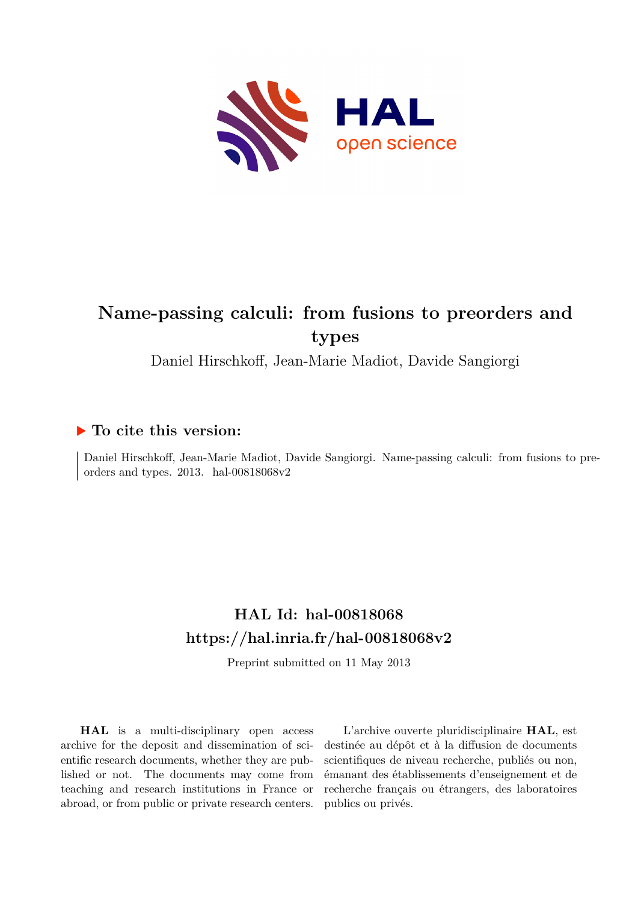

## **Name-passing calculi: from fusions to preorders and types**

Daniel Hirschkoff, Jean-Marie Madiot, Davide Sangiorgi

### **To cite this version:**

Daniel Hirschkoff, Jean-Marie Madiot, Davide Sangiorgi. Name-passing calculi: from fusions to preorders and types.  $2013.$  hal- $00818068v2$ 

## **HAL Id: hal-00818068 <https://hal.inria.fr/hal-00818068v2>**

Preprint submitted on 11 May 2013

**HAL** is a multi-disciplinary open access archive for the deposit and dissemination of scientific research documents, whether they are published or not. The documents may come from teaching and research institutions in France or abroad, or from public or private research centers.

L'archive ouverte pluridisciplinaire **HAL**, est destinée au dépôt et à la diffusion de documents scientifiques de niveau recherche, publiés ou non, émanant des établissements d'enseignement et de recherche français ou étrangers, des laboratoires publics ou privés.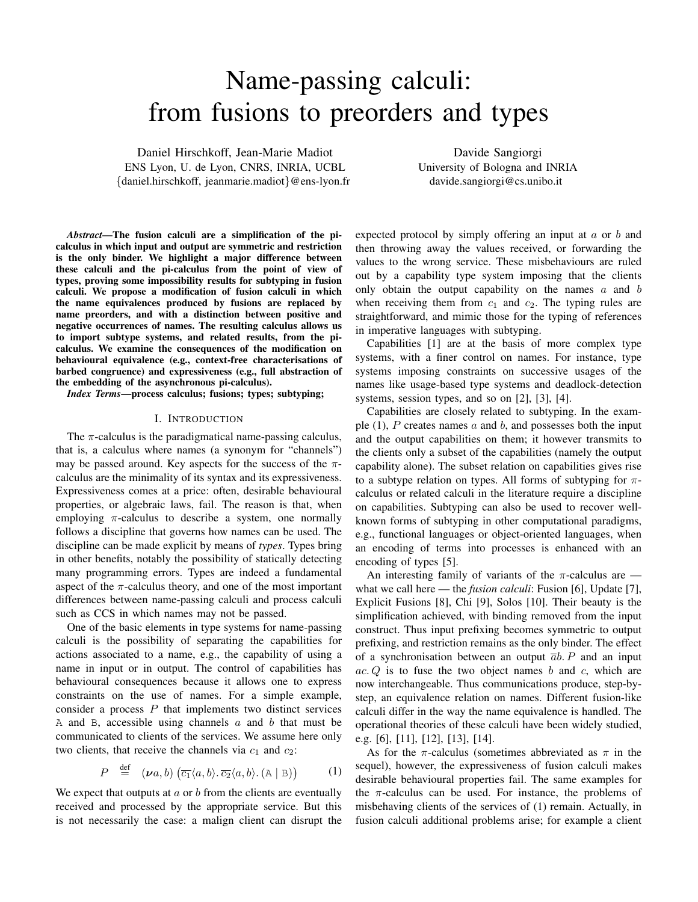# Name-passing calculi: from fusions to preorders and types

Daniel Hirschkoff, Jean-Marie Madiot ENS Lyon, U. de Lyon, CNRS, INRIA, UCBL {daniel.hirschkoff, jeanmarie.madiot}@ens-lyon.fr

Davide Sangiorgi University of Bologna and INRIA davide.sangiorgi@cs.unibo.it

*Abstract*—The fusion calculi are a simplification of the picalculus in which input and output are symmetric and restriction is the only binder. We highlight a major difference between these calculi and the pi-calculus from the point of view of types, proving some impossibility results for subtyping in fusion calculi. We propose a modification of fusion calculi in which the name equivalences produced by fusions are replaced by name preorders, and with a distinction between positive and negative occurrences of names. The resulting calculus allows us to import subtype systems, and related results, from the picalculus. We examine the consequences of the modification on behavioural equivalence (e.g., context-free characterisations of barbed congruence) and expressiveness (e.g., full abstraction of the embedding of the asynchronous pi-calculus).

*Index Terms*—process calculus; fusions; types; subtyping;

#### I. INTRODUCTION

The  $\pi$ -calculus is the paradigmatical name-passing calculus, that is, a calculus where names (a synonym for "channels") may be passed around. Key aspects for the success of the  $\pi$ calculus are the minimality of its syntax and its expressiveness. Expressiveness comes at a price: often, desirable behavioural properties, or algebraic laws, fail. The reason is that, when employing  $\pi$ -calculus to describe a system, one normally follows a discipline that governs how names can be used. The discipline can be made explicit by means of *types*. Types bring in other benefits, notably the possibility of statically detecting many programming errors. Types are indeed a fundamental aspect of the  $\pi$ -calculus theory, and one of the most important differences between name-passing calculi and process calculi such as CCS in which names may not be passed.

One of the basic elements in type systems for name-passing calculi is the possibility of separating the capabilities for actions associated to a name, e.g., the capability of using a name in input or in output. The control of capabilities has behavioural consequences because it allows one to express constraints on the use of names. For a simple example, consider a process  $P$  that implements two distinct services A and B, accessible using channels  $a$  and  $b$  that must be communicated to clients of the services. We assume here only two clients, that receive the channels via  $c_1$  and  $c_2$ :

$$
P \stackrel{\text{def}}{=} (\nu a, b) \left( \overline{c_1} \langle a, b \rangle \cdot \overline{c_2} \langle a, b \rangle \cdot (\mathbb{A} \mid \mathbb{B}) \right) \tag{1}
$$

We expect that outputs at  $\alpha$  or  $\delta$  from the clients are eventually received and processed by the appropriate service. But this is not necessarily the case: a malign client can disrupt the expected protocol by simply offering an input at  $a$  or  $b$  and then throwing away the values received, or forwarding the values to the wrong service. These misbehaviours are ruled out by a capability type system imposing that the clients only obtain the output capability on the names  $a$  and  $b$ when receiving them from  $c_1$  and  $c_2$ . The typing rules are straightforward, and mimic those for the typing of references in imperative languages with subtyping.

Capabilities [1] are at the basis of more complex type systems, with a finer control on names. For instance, type systems imposing constraints on successive usages of the names like usage-based type systems and deadlock-detection systems, session types, and so on [2], [3], [4].

Capabilities are closely related to subtyping. In the example  $(1)$ , P creates names a and b, and possesses both the input and the output capabilities on them; it however transmits to the clients only a subset of the capabilities (namely the output capability alone). The subset relation on capabilities gives rise to a subtype relation on types. All forms of subtyping for  $\pi$ calculus or related calculi in the literature require a discipline on capabilities. Subtyping can also be used to recover wellknown forms of subtyping in other computational paradigms, e.g., functional languages or object-oriented languages, when an encoding of terms into processes is enhanced with an encoding of types [5].

An interesting family of variants of the  $\pi$ -calculus are what we call here — the *fusion calculi*: Fusion [6], Update [7], Explicit Fusions [8], Chi [9], Solos [10]. Their beauty is the simplification achieved, with binding removed from the input construct. Thus input prefixing becomes symmetric to output prefixing, and restriction remains as the only binder. The effect of a synchronisation between an output  $\overline{a}b$ . P and an input  $ac. Q$  is to fuse the two object names b and c, which are now interchangeable. Thus communications produce, step-bystep, an equivalence relation on names. Different fusion-like calculi differ in the way the name equivalence is handled. The operational theories of these calculi have been widely studied, e.g. [6], [11], [12], [13], [14].

As for the  $\pi$ -calculus (sometimes abbreviated as  $\pi$  in the sequel), however, the expressiveness of fusion calculi makes desirable behavioural properties fail. The same examples for the  $\pi$ -calculus can be used. For instance, the problems of misbehaving clients of the services of (1) remain. Actually, in fusion calculi additional problems arise; for example a client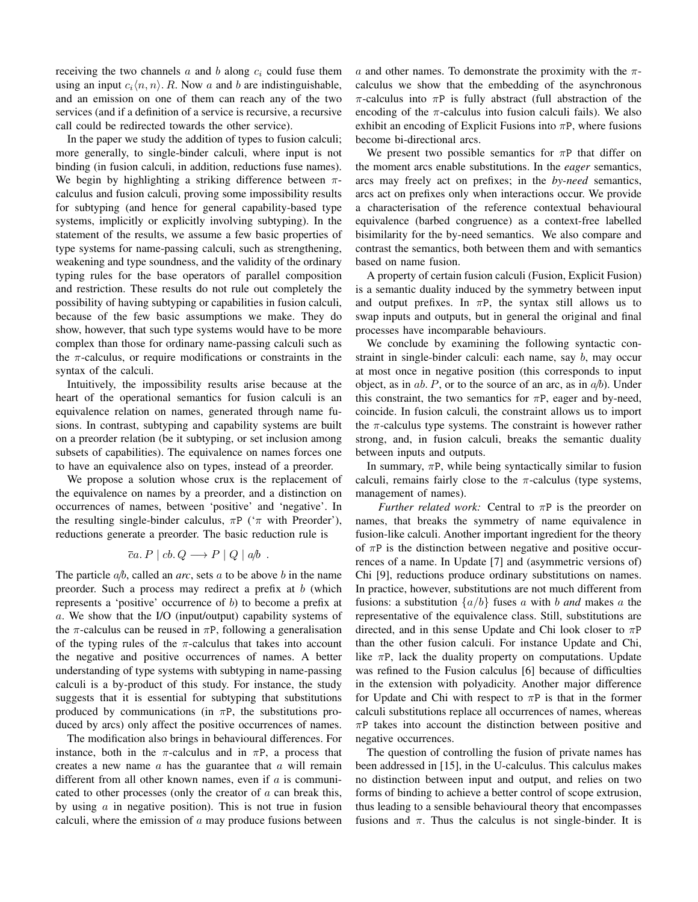receiving the two channels  $a$  and  $b$  along  $c_i$  could fuse them using an input  $c_i\langle n, n\rangle$ . R. Now a and b are indistinguishable, and an emission on one of them can reach any of the two services (and if a definition of a service is recursive, a recursive call could be redirected towards the other service).

In the paper we study the addition of types to fusion calculi; more generally, to single-binder calculi, where input is not binding (in fusion calculi, in addition, reductions fuse names). We begin by highlighting a striking difference between  $\pi$ calculus and fusion calculi, proving some impossibility results for subtyping (and hence for general capability-based type systems, implicitly or explicitly involving subtyping). In the statement of the results, we assume a few basic properties of type systems for name-passing calculi, such as strengthening, weakening and type soundness, and the validity of the ordinary typing rules for the base operators of parallel composition and restriction. These results do not rule out completely the possibility of having subtyping or capabilities in fusion calculi, because of the few basic assumptions we make. They do show, however, that such type systems would have to be more complex than those for ordinary name-passing calculi such as the  $\pi$ -calculus, or require modifications or constraints in the syntax of the calculi.

Intuitively, the impossibility results arise because at the heart of the operational semantics for fusion calculi is an equivalence relation on names, generated through name fusions. In contrast, subtyping and capability systems are built on a preorder relation (be it subtyping, or set inclusion among subsets of capabilities). The equivalence on names forces one to have an equivalence also on types, instead of a preorder.

We propose a solution whose crux is the replacement of the equivalence on names by a preorder, and a distinction on occurrences of names, between 'positive' and 'negative'. In the resulting single-binder calculus,  $\pi P$  (' $\pi$  with Preorder'), reductions generate a preorder. The basic reduction rule is

$$
\overline{c}a.P \mid cb.Q \longrightarrow P \mid Q \mid a/b.
$$

The particle  $a/b$ , called an *arc*, sets a to be above b in the name preorder. Such a process may redirect a prefix at  $b$  (which represents a 'positive' occurrence of b) to become a prefix at a. We show that the I/O (input/output) capability systems of the  $\pi$ -calculus can be reused in  $\pi P$ , following a generalisation of the typing rules of the  $\pi$ -calculus that takes into account the negative and positive occurrences of names. A better understanding of type systems with subtyping in name-passing calculi is a by-product of this study. For instance, the study suggests that it is essential for subtyping that substitutions produced by communications (in  $\pi P$ , the substitutions produced by arcs) only affect the positive occurrences of names.

The modification also brings in behavioural differences. For instance, both in the  $\pi$ -calculus and in  $\pi$ P, a process that creates a new name  $\alpha$  has the guarantee that  $\alpha$  will remain different from all other known names, even if  $a$  is communicated to other processes (only the creator of  $\alpha$  can break this, by using  $a$  in negative position). This is not true in fusion calculi, where the emission of  $a$  may produce fusions between

a and other names. To demonstrate the proximity with the  $\pi$ calculus we show that the embedding of the asynchronous  $\pi$ -calculus into  $\pi P$  is fully abstract (full abstraction of the encoding of the  $\pi$ -calculus into fusion calculi fails). We also exhibit an encoding of Explicit Fusions into  $\pi P$ , where fusions become bi-directional arcs.

We present two possible semantics for  $\pi P$  that differ on the moment arcs enable substitutions. In the *eager* semantics, arcs may freely act on prefixes; in the *by-need* semantics, arcs act on prefixes only when interactions occur. We provide a characterisation of the reference contextual behavioural equivalence (barbed congruence) as a context-free labelled bisimilarity for the by-need semantics. We also compare and contrast the semantics, both between them and with semantics based on name fusion.

A property of certain fusion calculi (Fusion, Explicit Fusion) is a semantic duality induced by the symmetry between input and output prefixes. In  $\pi P$ , the syntax still allows us to swap inputs and outputs, but in general the original and final processes have incomparable behaviours.

We conclude by examining the following syntactic constraint in single-binder calculi: each name, say b, may occur at most once in negative position (this corresponds to input object, as in  $ab$ . P, or to the source of an arc, as in  $a/b$ ). Under this constraint, the two semantics for  $\pi P$ , eager and by-need, coincide. In fusion calculi, the constraint allows us to import the  $\pi$ -calculus type systems. The constraint is however rather strong, and, in fusion calculi, breaks the semantic duality between inputs and outputs.

In summary,  $\pi P$ , while being syntactically similar to fusion calculi, remains fairly close to the  $\pi$ -calculus (type systems, management of names).

*Further related work:* Central to  $\pi P$  is the preorder on names, that breaks the symmetry of name equivalence in fusion-like calculi. Another important ingredient for the theory of  $\pi P$  is the distinction between negative and positive occurrences of a name. In Update [7] and (asymmetric versions of) Chi [9], reductions produce ordinary substitutions on names. In practice, however, substitutions are not much different from fusions: a substitution  $\{a/b\}$  fuses a with b and makes a the representative of the equivalence class. Still, substitutions are directed, and in this sense Update and Chi look closer to  $\pi P$ than the other fusion calculi. For instance Update and Chi, like  $\pi P$ , lack the duality property on computations. Update was refined to the Fusion calculus [6] because of difficulties in the extension with polyadicity. Another major difference for Update and Chi with respect to  $\pi P$  is that in the former calculi substitutions replace all occurrences of names, whereas  $\pi$ P takes into account the distinction between positive and negative occurrences.

The question of controlling the fusion of private names has been addressed in [15], in the U-calculus. This calculus makes no distinction between input and output, and relies on two forms of binding to achieve a better control of scope extrusion, thus leading to a sensible behavioural theory that encompasses fusions and  $\pi$ . Thus the calculus is not single-binder. It is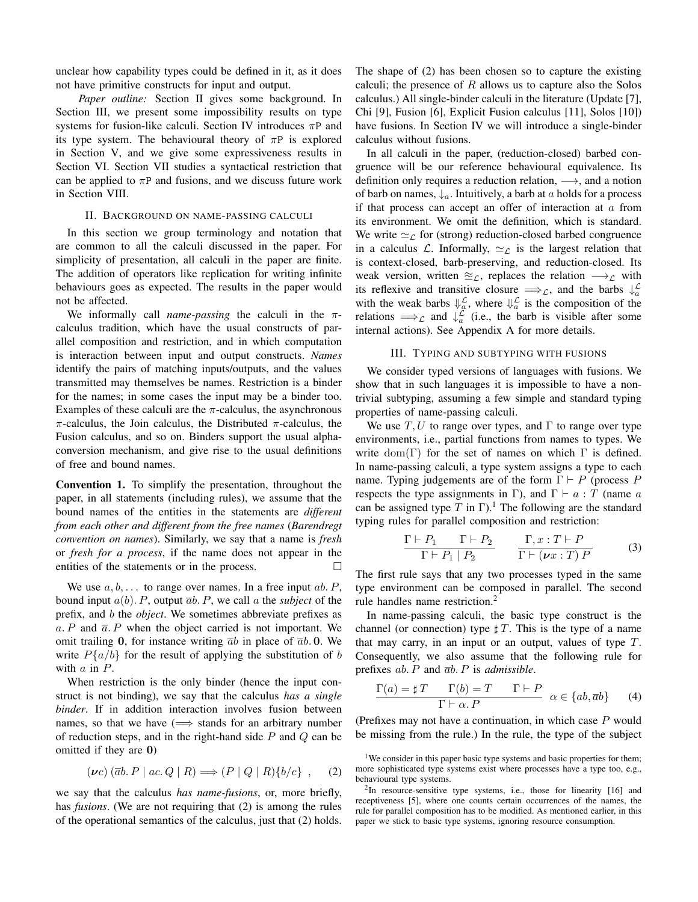unclear how capability types could be defined in it, as it does not have primitive constructs for input and output.

*Paper outline:* Section II gives some background. In Section III, we present some impossibility results on type systems for fusion-like calculi. Section IV introduces  $\pi P$  and its type system. The behavioural theory of  $\pi P$  is explored in Section V, and we give some expressiveness results in Section VI. Section VII studies a syntactical restriction that can be applied to  $\pi P$  and fusions, and we discuss future work in Section VIII.

#### II. BACKGROUND ON NAME-PASSING CALCULI

In this section we group terminology and notation that are common to all the calculi discussed in the paper. For simplicity of presentation, all calculi in the paper are finite. The addition of operators like replication for writing infinite behaviours goes as expected. The results in the paper would not be affected.

We informally call *name-passing* the calculi in the πcalculus tradition, which have the usual constructs of parallel composition and restriction, and in which computation is interaction between input and output constructs. *Names* identify the pairs of matching inputs/outputs, and the values transmitted may themselves be names. Restriction is a binder for the names; in some cases the input may be a binder too. Examples of these calculi are the  $\pi$ -calculus, the asynchronous  $\pi$ -calculus, the Join calculus, the Distributed  $\pi$ -calculus, the Fusion calculus, and so on. Binders support the usual alphaconversion mechanism, and give rise to the usual definitions of free and bound names.

Convention 1. To simplify the presentation, throughout the paper, in all statements (including rules), we assume that the bound names of the entities in the statements are *different from each other and different from the free names* (*Barendregt convention on names*). Similarly, we say that a name is *fresh* or *fresh for a process*, if the name does not appear in the entities of the statements or in the process.

We use  $a, b, \ldots$  to range over names. In a free input  $ab \nvert P$ , bound input  $a(b)$ . P, output  $\overline{a}b$ . P, we call a the *subject* of the prefix, and b the *object*. We sometimes abbreviate prefixes as a. P and  $\overline{a}$ . P when the object carried is not important. We omit trailing 0, for instance writing  $\bar{a}b$  in place of  $\bar{a}b$ . 0. We write  $P\{a/b\}$  for the result of applying the substitution of b with a in P.

When restriction is the only binder (hence the input construct is not binding), we say that the calculus *has a single binder*. If in addition interaction involves fusion between names, so that we have  $(\implies)$  stands for an arbitrary number of reduction steps, and in the right-hand side  $P$  and  $Q$  can be omitted if they are 0)

$$
(\nu c) (\overline{a}b. P \mid ac. Q \mid R) \Longrightarrow (P \mid Q \mid R) \{b/c\}, \quad (2)
$$

we say that the calculus *has name-fusions*, or, more briefly, has *fusions*. (We are not requiring that (2) is among the rules of the operational semantics of the calculus, just that (2) holds. The shape of (2) has been chosen so to capture the existing calculi; the presence of  $R$  allows us to capture also the Solos calculus.) All single-binder calculi in the literature (Update [7], Chi [9], Fusion [6], Explicit Fusion calculus [11], Solos [10]) have fusions. In Section IV we will introduce a single-binder calculus without fusions.

In all calculi in the paper, (reduction-closed) barbed congruence will be our reference behavioural equivalence. Its definition only requires a reduction relation,  $\longrightarrow$ , and a notion of barb on names,  $\downarrow_a$ . Intuitively, a barb at a holds for a process if that process can accept an offer of interaction at  $a$  from its environment. We omit the definition, which is standard. We write  $\simeq_{\mathcal{L}}$  for (strong) reduction-closed barbed congruence in a calculus L. Informally,  $\simeq_{\mathcal{L}}$  is the largest relation that is context-closed, barb-preserving, and reduction-closed. Its weak version, written  $\approx_{\mathcal{L}}$ , replaces the relation  $\rightarrow_{\mathcal{L}}$  with its reflexive and transitive closure  $\Longrightarrow_{\mathcal{L}}$ , and the barbs  $\downarrow_a^{\mathcal{L}}$ with the weak barbs  $\Downarrow_{\alpha}^{\mathcal{L}}$ , where  $\Downarrow_{\alpha}^{\mathcal{L}}$  is the composition of the relations  $\implies_{\mathcal{L}}$  and  $\downarrow_{a}^{\mathcal{L}}$  (i.e., the barb is visible after some internal actions). See Appendix A for more details.

#### III. TYPING AND SUBTYPING WITH FUSIONS

We consider typed versions of languages with fusions. We show that in such languages it is impossible to have a nontrivial subtyping, assuming a few simple and standard typing properties of name-passing calculi.

We use  $T, U$  to range over types, and  $\Gamma$  to range over type environments, i.e., partial functions from names to types. We write dom(Γ) for the set of names on which Γ is defined. In name-passing calculi, a type system assigns a type to each name. Typing judgements are of the form  $\Gamma \vdash P$  (process P respects the type assignments in Γ), and  $\Gamma \vdash a : T$  (name a can be assigned type T in  $\Gamma$ ).<sup>1</sup> The following are the standard typing rules for parallel composition and restriction:

$$
\frac{\Gamma \vdash P_1 \qquad \Gamma \vdash P_2}{\Gamma \vdash P_1 \mid P_2} \qquad \frac{\Gamma, x : T \vdash P}{\Gamma \vdash (\nu x : T) P} \tag{3}
$$

The first rule says that any two processes typed in the same type environment can be composed in parallel. The second rule handles name restriction.<sup>2</sup>

In name-passing calculi, the basic type construct is the channel (or connection) type  $\sharp T$ . This is the type of a name that may carry, in an input or an output, values of type T. Consequently, we also assume that the following rule for prefixes ab. P and ab. P is *admissible*.

$$
\frac{\Gamma(a) = \sharp T \quad \Gamma(b) = T \quad \Gamma \vdash P}{\Gamma \vdash \alpha. P} \quad \alpha \in \{ab, \overline{a}b\} \tag{4}
$$

(Prefixes may not have a continuation, in which case  $P$  would be missing from the rule.) In the rule, the type of the subject

<sup>&</sup>lt;sup>1</sup>We consider in this paper basic type systems and basic properties for them; more sophisticated type systems exist where processes have a type too, e.g., behavioural type systems.

 $2$ In resource-sensitive type systems, i.e., those for linearity [16] and receptiveness [5], where one counts certain occurrences of the names, the rule for parallel composition has to be modified. As mentioned earlier, in this paper we stick to basic type systems, ignoring resource consumption.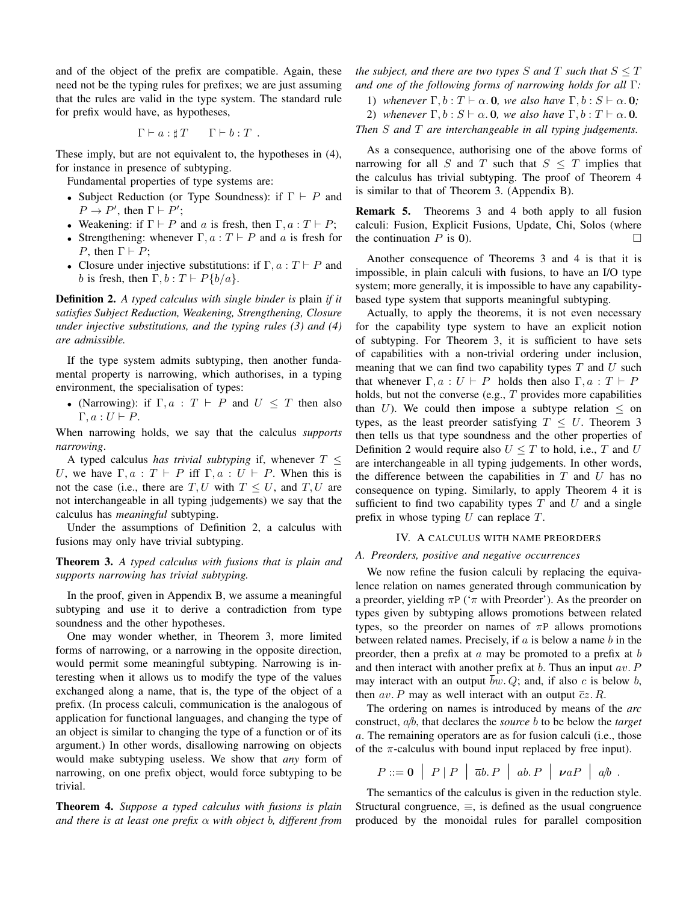and of the object of the prefix are compatible. Again, these need not be the typing rules for prefixes; we are just assuming that the rules are valid in the type system. The standard rule for prefix would have, as hypotheses,

$$
\Gamma \vdash a : \sharp T \qquad \Gamma \vdash b : T \ .
$$

These imply, but are not equivalent to, the hypotheses in (4), for instance in presence of subtyping.

Fundamental properties of type systems are:

- Subject Reduction (or Type Soundness): if  $\Gamma \vdash P$  and  $P \to P'$ , then  $\Gamma \vdash P'$ ;
- Weakening: if  $\Gamma \vdash P$  and a is fresh, then  $\Gamma, a : T \vdash P$ ;
- Strengthening: whenever  $\Gamma, a : T \vdash P$  and a is fresh for P, then  $\Gamma \vdash P$ ;
- Closure under injective substitutions: if  $\Gamma, a : T \vdash P$  and b is fresh, then  $\Gamma, b : T \vdash P\{b/a\}.$

Definition 2. *A typed calculus with single binder is* plain *if it satisfies Subject Reduction, Weakening, Strengthening, Closure under injective substitutions, and the typing rules (3) and (4) are admissible.*

If the type system admits subtyping, then another fundamental property is narrowing, which authorises, in a typing environment, the specialisation of types:

• (Narrowing): if  $\Gamma, a : T \vdash P$  and  $U \leq T$  then also  $\Gamma, a: U \vdash P$ .

When narrowing holds, we say that the calculus *supports narrowing*.

A typed calculus *has trivial subtyping* if, whenever  $T \leq$ U, we have  $\Gamma, a : T \vdash P$  iff  $\Gamma, a : U \vdash P$ . When this is not the case (i.e., there are T, U with  $T \leq U$ , and T, U are not interchangeable in all typing judgements) we say that the calculus has *meaningful* subtyping.

Under the assumptions of Definition 2, a calculus with fusions may only have trivial subtyping.

Theorem 3. *A typed calculus with fusions that is plain and supports narrowing has trivial subtyping.*

In the proof, given in Appendix B, we assume a meaningful subtyping and use it to derive a contradiction from type soundness and the other hypotheses.

One may wonder whether, in Theorem 3, more limited forms of narrowing, or a narrowing in the opposite direction, would permit some meaningful subtyping. Narrowing is interesting when it allows us to modify the type of the values exchanged along a name, that is, the type of the object of a prefix. (In process calculi, communication is the analogous of application for functional languages, and changing the type of an object is similar to changing the type of a function or of its argument.) In other words, disallowing narrowing on objects would make subtyping useless. We show that *any* form of narrowing, on one prefix object, would force subtyping to be trivial.

Theorem 4. *Suppose a typed calculus with fusions is plain and there is at least one prefix* α *with object* b*, different from* *the subject, and there are two types*  $S$  *and*  $T$  *such that*  $S \leq T$ *and one of the following forms of narrowing holds for all* Γ*:*

- 1) whenever  $\Gamma$ ,  $b: T \vdash \alpha$ . 0, we also have  $\Gamma$ ,  $b: S \vdash \alpha$ . 0;
- 2) whenever  $\Gamma, b : S \vdash \alpha$ . 0, we also have  $\Gamma, b : T \vdash \alpha$ . 0.

*Then* S *and* T *are interchangeable in all typing judgements.*

As a consequence, authorising one of the above forms of narrowing for all S and T such that  $S \leq T$  implies that the calculus has trivial subtyping. The proof of Theorem 4 is similar to that of Theorem 3. (Appendix B).

Remark 5. Theorems 3 and 4 both apply to all fusion calculi: Fusion, Explicit Fusions, Update, Chi, Solos (where the continuation  $P$  is 0).

Another consequence of Theorems 3 and 4 is that it is impossible, in plain calculi with fusions, to have an I/O type system; more generally, it is impossible to have any capabilitybased type system that supports meaningful subtyping.

Actually, to apply the theorems, it is not even necessary for the capability type system to have an explicit notion of subtyping. For Theorem 3, it is sufficient to have sets of capabilities with a non-trivial ordering under inclusion, meaning that we can find two capability types  $T$  and  $U$  such that whenever  $\Gamma, a : U \vdash P$  holds then also  $\Gamma, a : T \vdash P$ holds, but not the converse (e.g.,  $T$  provides more capabilities than U). We could then impose a subtype relation  $\leq$  on types, as the least preorder satisfying  $T \leq U$ . Theorem 3 then tells us that type soundness and the other properties of Definition 2 would require also  $U \leq T$  to hold, i.e., T and U are interchangeable in all typing judgements. In other words, the difference between the capabilities in  $T$  and  $U$  has no consequence on typing. Similarly, to apply Theorem 4 it is sufficient to find two capability types  $T$  and  $U$  and a single prefix in whose typing  $U$  can replace  $T$ .

#### IV. A CALCULUS WITH NAME PREORDERS

#### *A. Preorders, positive and negative occurrences*

We now refine the fusion calculi by replacing the equivalence relation on names generated through communication by a preorder, yielding  $\pi P$  (' $\pi$  with Preorder'). As the preorder on types given by subtyping allows promotions between related types, so the preorder on names of  $\pi P$  allows promotions between related names. Precisely, if  $a$  is below a name  $b$  in the preorder, then a prefix at  $\alpha$  may be promoted to a prefix at  $\beta$ and then interact with another prefix at  $b$ . Thus an input  $av$ . P may interact with an output bw.  $Q$ ; and, if also  $c$  is below  $b$ , then av. P may as well interact with an output  $\overline{c}z$ . R.

The ordering on names is introduced by means of the *arc* construct, a/b, that declares the *source* b to be below the *target* a. The remaining operators are as for fusion calculi (i.e., those of the  $\pi$ -calculus with bound input replaced by free input).

 $P ::= \mathbf{0} | P | P | \overline{ab} P | ab. P | ab. P | \nu a P | a/b.$ 

The semantics of the calculus is given in the reduction style. Structural congruence,  $\equiv$ , is defined as the usual congruence produced by the monoidal rules for parallel composition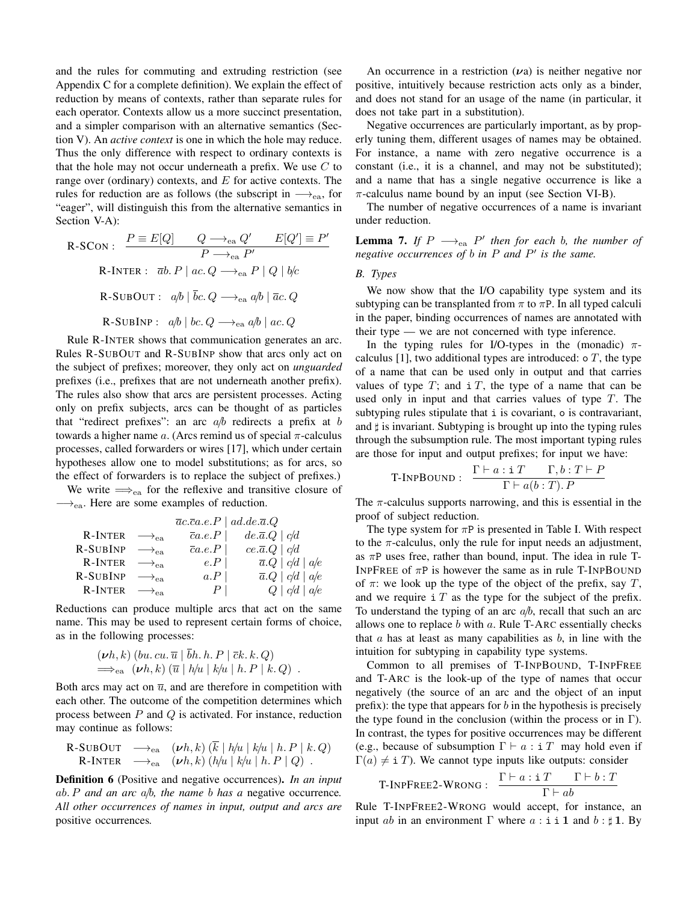and the rules for commuting and extruding restriction (see Appendix C for a complete definition). We explain the effect of reduction by means of contexts, rather than separate rules for each operator. Contexts allow us a more succinct presentation, and a simpler comparison with an alternative semantics (Section V). An *active context* is one in which the hole may reduce. Thus the only difference with respect to ordinary contexts is that the hole may not occur underneath a prefix. We use  $C$  to range over (ordinary) contexts, and  $E$  for active contexts. The rules for reduction are as follows (the subscript in  $\rightarrow_{ea}$ , for "eager", will distinguish this from the alternative semantics in Section V-A):

R-SCON: 
$$
\frac{P \equiv E[Q]}{P \longrightarrow_{ea} Q'} \frac{E[Q'] \equiv P}{P \longrightarrow_{ea} P'}
$$
  
R-INTER:  $\overline{a}b.P \mid ac.Q \longrightarrow_{ea} P \mid Q \mid b/c$   
R-SUBOUT:  $a/b \mid \overline{b}c.Q \longrightarrow_{ea} a/b \mid \overline{a}c.Q$   
R-SUBINP:  $a/b \mid bc.Q \longrightarrow_{ea} a/b \mid ac.Q$ 

Rule R-INTER shows that communication generates an arc. Rules R-SUBOUT and R-SUBINP show that arcs only act on the subject of prefixes; moreover, they only act on *unguarded* prefixes (i.e., prefixes that are not underneath another prefix). The rules also show that arcs are persistent processes. Acting only on prefix subjects, arcs can be thought of as particles that "redirect prefixes": an arc  $a/b$  redirects a prefix at b towards a higher name  $a$ . (Arcs remind us of special  $\pi$ -calculus processes, called forwarders or wires [17], which under certain hypotheses allow one to model substitutions; as for arcs, so the effect of forwarders is to replace the subject of prefixes.) We write  $\Longrightarrow$ <sub>ea</sub> for the reflexive and transitive closure of

 $\longrightarrow_{ea}$ . Here are some examples of reduction.

| <b>R-INTER</b> $\longrightarrow_{ea}$ |  |                                                                                                                                                                                                 |
|---------------------------------------|--|-------------------------------------------------------------------------------------------------------------------------------------------------------------------------------------------------|
| $R-SUBINP \longrightarrow_{ea}$       |  |                                                                                                                                                                                                 |
| <b>R-INTER</b> $\longrightarrow_{ea}$ |  | $\overline{a}.Q \mid c/d \mid a/e$                                                                                                                                                              |
| $R-SUBINP \longrightarrow_{ea}$       |  | $\overline{a}.Q \mid c/d \mid a/e$                                                                                                                                                              |
| R-INTER $\longrightarrow_{ea}$        |  | $Q \mid c/d \mid a/e$                                                                                                                                                                           |
|                                       |  | $\overline{a}c.\overline{c}a.e.P \mid ad.de.\overline{a}.Q$<br>$\overline{c}a.e.P$   $de.\overline{a}.Q$   $c/d$<br>$\overline{c}a.e.P$   $ce.\overline{a}.Q$   $c/d$<br>e.P<br>a.P<br>$P\perp$ |

Reductions can produce multiple arcs that act on the same name. This may be used to represent certain forms of choice, as in the following processes:

$$
(\nu h, k) (bu. cu. \overline{u} | \overline{b}h. h. P | \overline{c}k. k. Q)
$$
  
\n
$$
\implies_{ea} (\nu h, k) (\overline{u} | h/u | k/u | h. P | k. Q) .
$$

Both arcs may act on  $\overline{u}$ , and are therefore in competition with each other. The outcome of the competition determines which process between  $P$  and  $Q$  is activated. For instance, reduction may continue as follows:

R-SUBOUT 
$$
\longrightarrow_{ea}
$$
  $(\nu h, k)$   $(\overline{k} | h/u | k/u | h.P | k.Q)$   
R-INTER  $\longrightarrow_{ea}$   $(\nu h, k)$   $(h/u | k/u | h.P | Q)$ .

Definition 6 (Positive and negative occurrences). *In an input* ab. P *and an arc* a/b*, the name* b *has a* negative occurrence*. All other occurrences of names in input, output and arcs are* positive occurrences*.*

An occurrence in a restriction  $(\nu a)$  is neither negative nor positive, intuitively because restriction acts only as a binder, and does not stand for an usage of the name (in particular, it does not take part in a substitution).

Negative occurrences are particularly important, as by properly tuning them, different usages of names may be obtained. For instance, a name with zero negative occurrence is a constant (i.e., it is a channel, and may not be substituted); and a name that has a single negative occurrence is like a  $\pi$ -calculus name bound by an input (see Section VI-B).

The number of negative occurrences of a name is invariant under reduction.

**Lemma 7.** If  $P \longrightarrow_{ea} P'$  then for each b, the number of *negative occurrences of* b *in* P *and* P ′ *is the same.*

#### *B. Types*

′

We now show that the I/O capability type system and its subtyping can be transplanted from  $\pi$  to  $\pi$ P. In all typed calculi in the paper, binding occurrences of names are annotated with their type — we are not concerned with type inference.

In the typing rules for I/O-types in the (monadic)  $\pi$ calculus [1], two additional types are introduced:  $\circ$  T, the type of a name that can be used only in output and that carries values of type  $T$ ; and i  $T$ , the type of a name that can be used only in input and that carries values of type  $T$ . The subtyping rules stipulate that i is covariant, o is contravariant, and ♯ is invariant. Subtyping is brought up into the typing rules through the subsumption rule. The most important typing rules are those for input and output prefixes; for input we have:

$$
\text{T-InPBOUND}: \quad \frac{\Gamma \vdash a : \texttt{i } T \qquad \Gamma, b : T \vdash P}{\Gamma \vdash a(b : T).P}
$$

The  $\pi$ -calculus supports narrowing, and this is essential in the proof of subject reduction.

The type system for  $\pi P$  is presented in Table I. With respect to the  $\pi$ -calculus, only the rule for input needs an adjustment, as  $\pi P$  uses free, rather than bound, input. The idea in rule T-INPFREE of  $\pi P$  is however the same as in rule T-INPBOUND of  $\pi$ : we look up the type of the object of the prefix, say T, and we require  $\mathbf{i} \, T$  as the type for the subject of the prefix. To understand the typing of an arc  $a/b$ , recall that such an arc allows one to replace  $b$  with  $a$ . Rule T-ARC essentially checks that  $a$  has at least as many capabilities as  $b$ , in line with the intuition for subtyping in capability type systems.

Common to all premises of T-INPBOUND, T-INPFREE and T-ARC is the look-up of the type of names that occur negatively (the source of an arc and the object of an input prefix): the type that appears for  $b$  in the hypothesis is precisely the type found in the conclusion (within the process or in  $\Gamma$ ). In contrast, the types for positive occurrences may be different (e.g., because of subsumption  $\Gamma \vdash a : \mathbf{i} \, T$  may hold even if  $\Gamma(a) \neq i$  T). We cannot type inputs like outputs: consider

$$
\text{T-INPFREE2-WRONG}: \quad \frac{\Gamma \vdash a : \texttt{i } T \qquad \Gamma \vdash b : T}{\Gamma \vdash ab}
$$

Rule T-INPFREE2-WRONG would accept, for instance, an input ab in an environment  $\Gamma$  where  $a : i i 1$  and  $b : \sharp 1$ . By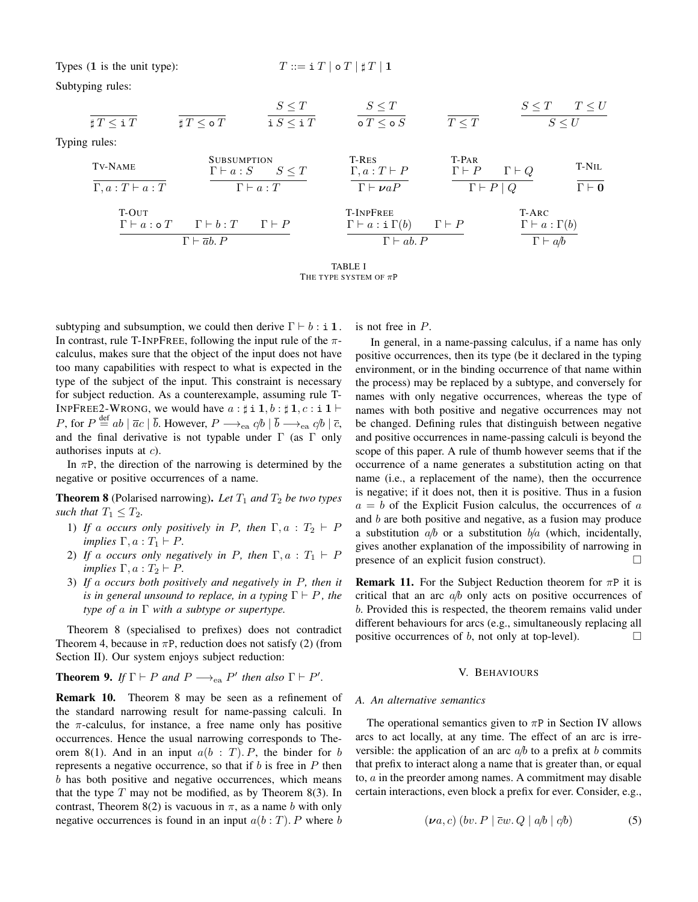Types  $(1$  is the unit type):

$$
T ::= \mathbf{i} \; T \; | \; \mathbf{o} \; T \; | \; \mathbf{t} \; T \; | \; \mathbf{1}
$$

Subtyping rules:

|                                  |                         | $S \leq T$      | $S \leq T$      |            | $S \leq T$ $T \leq U$ |  |
|----------------------------------|-------------------------|-----------------|-----------------|------------|-----------------------|--|
| $\sharp\, T \leq \mathtt{i}\, T$ | $\sharp\, T \leq$ o $T$ | i $S\leq$ i $T$ | o $T\leq$ o $S$ | $T \leq T$ |                       |  |

Typing rules:

| Tv-NAME                    | SUBSUMPTION                 | T-RES                   | T-PAR                        |                              |                              |                              |
|----------------------------|-----------------------------|-------------------------|------------------------------|------------------------------|------------------------------|------------------------------|
| $\Gamma, a: T \vdash a: T$ | $\Gamma \vdash a: S \leq T$ | $\Gamma, a: T \vdash P$ | $\Gamma \vdash P$            | $\Gamma \vdash P$            | $\Gamma \vdash Q$            |                              |
| $\Gamma$ -OUT              | $\Gamma \vdash a: oT$       | $\Gamma \vdash b: T$    | $\Gamma \vdash P$            | $\Gamma \vdash a: \Gamma(b)$ | $\Gamma \vdash P$            | $\Gamma \vdash a: \Gamma(b)$ |
| $\Gamma \vdash a: oT$      | $\Gamma \vdash b: T$        | $\Gamma \vdash P$       | $\Gamma \vdash a: \Gamma(b)$ | $\Gamma \vdash P$            | $\Gamma \vdash a: \Gamma(b)$ |                              |
| $\Gamma \vdash ab. P$      | $\Gamma \vdash ab. P$       | $\Gamma \vdash ab. P$   | $\Gamma \vdash ab$           |                              |                              |                              |

TABLE I THE TYPE SYSTEM OF  $\pi P$ 

subtyping and subsumption, we could then derive  $\Gamma \vdash b : i \mathbf{1}$ . In contrast, rule T-INPFREE, following the input rule of the  $\pi$ calculus, makes sure that the object of the input does not have too many capabilities with respect to what is expected in the type of the subject of the input. This constraint is necessary for subject reduction. As a counterexample, assuming rule T-INPFREE2-WRONG, we would have  $a : \sharp \mathbf{i} \mathbf{1}, b : \sharp \mathbf{1}, c : \mathbf{i} \mathbf{1} \vdash$ P, for  $P \stackrel{\text{def}}{=} ab \mid \overline{a}c \mid \overline{b}$ . However,  $P \longrightarrow_{ea} c/b \mid \overline{b} \longrightarrow_{ea} c/b \mid \overline{c}$ , and the final derivative is not typable under  $\Gamma$  (as  $\Gamma$  only authorises inputs at  $c$ ).

In  $\pi P$ , the direction of the narrowing is determined by the negative or positive occurrences of a name.

**Theorem 8** (Polarised narrowing). Let  $T_1$  and  $T_2$  be two types *such that*  $T_1 \leq T_2$ *.* 

- 1) *If* a *occurs only positively in P, then*  $\Gamma, a : T_2 \vdash P$ *implies*  $\Gamma, a : T_1 \vdash P$ .
- 2) *If* a *occurs only negatively in P*, then  $\Gamma$ ,  $a$  :  $T_1$   $\vdash$  *P implies*  $\Gamma, a : T_2 \vdash P$ .
- 3) *If* a *occurs both positively and negatively in* P*, then it is in general unsound to replace, in a typing*  $\Gamma \vdash P$ *, the type of* a *in* Γ *with a subtype or supertype.*

Theorem 8 (specialised to prefixes) does not contradict Theorem 4, because in  $\pi P$ , reduction does not satisfy (2) (from Section II). Our system enjoys subject reduction:

**Theorem 9.** *If*  $\Gamma \vdash P$  *and*  $P \longrightarrow_{ea} P'$  *then also*  $\Gamma \vdash P'$ *.* 

Remark 10. Theorem 8 may be seen as a refinement of the standard narrowing result for name-passing calculi. In the  $\pi$ -calculus, for instance, a free name only has positive occurrences. Hence the usual narrowing corresponds to Theorem 8(1). And in an input  $a(b : T)$ . P, the binder for b represents a negative occurrence, so that if  $b$  is free in  $P$  then b has both positive and negative occurrences, which means that the type  $T$  may not be modified, as by Theorem 8(3). In contrast, Theorem 8(2) is vacuous in  $\pi$ , as a name b with only negative occurrences is found in an input  $a(b:T)$ . P where b is not free in P.

In general, in a name-passing calculus, if a name has only positive occurrences, then its type (be it declared in the typing environment, or in the binding occurrence of that name within the process) may be replaced by a subtype, and conversely for names with only negative occurrences, whereas the type of names with both positive and negative occurrences may not be changed. Defining rules that distinguish between negative and positive occurrences in name-passing calculi is beyond the scope of this paper. A rule of thumb however seems that if the occurrence of a name generates a substitution acting on that name (i.e., a replacement of the name), then the occurrence is negative; if it does not, then it is positive. Thus in a fusion  $a = b$  of the Explicit Fusion calculus, the occurrences of a and  $b$  are both positive and negative, as a fusion may produce a substitution  $a/b$  or a substitution  $b/a$  (which, incidentally, gives another explanation of the impossibility of narrowing in presence of an explicit fusion construct).

**Remark 11.** For the Subject Reduction theorem for  $\pi P$  it is critical that an arc  $a/b$  only acts on positive occurrences of b. Provided this is respected, the theorem remains valid under different behaviours for arcs (e.g., simultaneously replacing all positive occurrences of  $b$ , not only at top-level).

#### V. BEHAVIOURS

#### *A. An alternative semantics*

The operational semantics given to  $\pi P$  in Section IV allows arcs to act locally, at any time. The effect of an arc is irreversible: the application of an arc  $a/b$  to a prefix at b commits that prefix to interact along a name that is greater than, or equal to, a in the preorder among names. A commitment may disable certain interactions, even block a prefix for ever. Consider, e.g.,

$$
(\nu a, c) (bv. P \mid \overline{c}w. Q \mid a/b \mid c/b)
$$
 (5)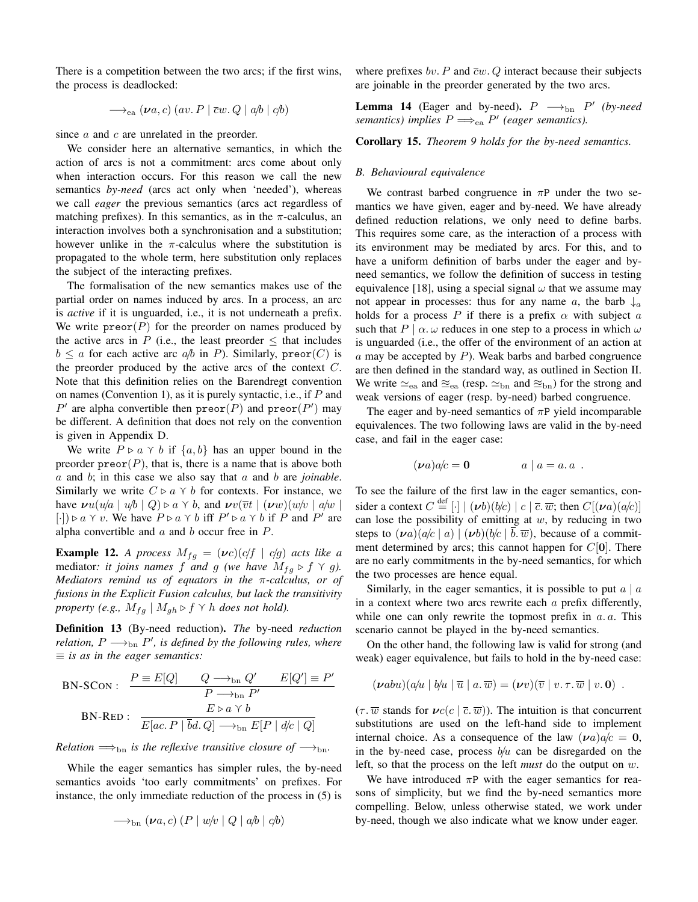There is a competition between the two arcs; if the first wins, the process is deadlocked:

$$
\longrightarrow_{\text{ea}} (\nu a, c) (av. P | \overline{c}w. Q | a/b | c/b)
$$

since  $\alpha$  and  $\alpha$  are unrelated in the preorder.

We consider here an alternative semantics, in which the action of arcs is not a commitment: arcs come about only when interaction occurs. For this reason we call the new semantics *by-need* (arcs act only when 'needed'), whereas we call *eager* the previous semantics (arcs act regardless of matching prefixes). In this semantics, as in the  $\pi$ -calculus, an interaction involves both a synchronisation and a substitution; however unlike in the  $\pi$ -calculus where the substitution is propagated to the whole term, here substitution only replaces the subject of the interacting prefixes.

The formalisation of the new semantics makes use of the partial order on names induced by arcs. In a process, an arc is *active* if it is unguarded, i.e., it is not underneath a prefix. We write  $\text{preor}(P)$  for the preorder on names produced by the active arcs in P (i.e., the least preorder  $\leq$  that includes  $b \le a$  for each active arc  $a/b$  in P). Similarly, preor $(C)$  is the preorder produced by the active arcs of the context  $C$ . Note that this definition relies on the Barendregt convention on names (Convention 1), as it is purely syntactic, i.e., if  $P$  and P' are alpha convertible then  $\text{preor}(P)$  and  $\text{preor}(P')$  may be different. A definition that does not rely on the convention is given in Appendix D.

We write  $P \triangleright a \land b$  if  $\{a, b\}$  has an upper bound in the preorder  $preor(P)$ , that is, there is a name that is above both a and b; in this case we also say that a and b are *joinable*. Similarly we write  $C \triangleright a \land b$  for contexts. For instance, we have  $\mathbf{v}u(u/a \mid u/b \mid Q) \triangleright a \curlyvee b$ , and  $\mathbf{v}v(\overline{v}t \mid (\mathbf{v}w)(w/v \mid a/w \mid q)$ [·]) ⊳ a  $\gamma$  v. We have  $P \triangleright a \gamma b$  iff  $P' \triangleright a \gamma b$  if P and P' are alpha convertible and  $a$  and  $b$  occur free in  $P$ .

**Example 12.** *A process*  $M_{fg} = (\nu c)(c/f \mid c/g)$  *acts like a* mediator: *it joins names* f and g *(we have*  $M_{fq} \triangleright f \curlyvee g$ *). Mediators remind us of equators in the* π*-calculus, or of fusions in the Explicit Fusion calculus, but lack the transitivity property (e.g.,*  $M_{fq}$  |  $M_{qh}$   $\triangleright$  f  $\curlyvee$  h *does not hold).* 

Definition 13 (By-need reduction). *The* by-need *reduction relation,*  $P \longrightarrow_{\text{bn}} P'$ , *is defined by the following rules, where* ≡ *is as in the eager semantics:*

$$
\text{BN-SCON:} \quad \frac{P \equiv E[Q]}{P \longrightarrow_{\text{bn}} Q'} \quad \frac{E[Q'] \equiv P'}{P \longrightarrow_{\text{bn}} P'}
$$
\n
$$
\text{BN-RED:} \quad \frac{E \triangleright a \curlyvee b}{E[ac.P \mid \overline{b}d.Q] \longrightarrow_{\text{bn}} E[P \mid d/c \mid Q]}
$$

*Relation*  $\Longrightarrow$ <sub>bn</sub> *is the reflexive transitive closure of*  $\longrightarrow$ <sub>bn</sub>.

While the eager semantics has simpler rules, the by-need semantics avoids 'too early commitments' on prefixes. For instance, the only immediate reduction of the process in (5) is

$$
\longrightarrow_{\text{bn}} (\nu a, c) (P \mid w/v \mid Q \mid a/b \mid c/b)
$$

where prefixes bv. P and  $\overline{c}w$ . Q interact because their subjects are joinable in the preorder generated by the two arcs.

**Lemma 14** (Eager and by-need).  $P \longrightarrow_{\text{bn}} P'$  (by-need) *semantics) implies*  $P \Longrightarrow_{\text{ea}} P'$  (eager semantics).

Corollary 15. *Theorem 9 holds for the by-need semantics.*

#### *B. Behavioural equivalence*

We contrast barbed congruence in  $\pi P$  under the two semantics we have given, eager and by-need. We have already defined reduction relations, we only need to define barbs. This requires some care, as the interaction of a process with its environment may be mediated by arcs. For this, and to have a uniform definition of barbs under the eager and byneed semantics, we follow the definition of success in testing equivalence [18], using a special signal  $\omega$  that we assume may not appear in processes: thus for any name a, the barb  $\downarrow_a$ holds for a process P if there is a prefix  $\alpha$  with subject a such that  $P | \alpha \omega$  reduces in one step to a process in which  $\omega$ is unguarded (i.e., the offer of the environment of an action at  $a$  may be accepted by  $P$ ). Weak barbs and barbed congruence are then defined in the standard way, as outlined in Section II. We write  $\simeq_{ea}$  and  $\approx_{ea}$  (resp.  $\simeq_{bn}$  and  $\approx_{bn}$ ) for the strong and weak versions of eager (resp. by-need) barbed congruence.

The eager and by-need semantics of  $\pi P$  yield incomparable equivalences. The two following laws are valid in the by-need case, and fail in the eager case:

$$
(\nu a)a/c = 0 \qquad a \mid a = a.a.
$$

To see the failure of the first law in the eager semantics, consider a context  $C \stackrel{\text{def}}{=} [\cdot] \mid (\nu b)(b/c) \mid c \mid \overline{c} \cdot \overline{w}$ ; then  $C[(\nu a)(a/c)]$ can lose the possibility of emitting at  $w$ , by reducing in two steps to  $(\nu a)(a/c \mid a) | (\nu b)(b/c \mid \overline{b}, \overline{w})$ , because of a commitment determined by arcs; this cannot happen for  $C[0]$ . There are no early commitments in the by-need semantics, for which the two processes are hence equal.

Similarly, in the eager semantics, it is possible to put  $a \mid a$ in a context where two arcs rewrite each  $\alpha$  prefix differently, while one can only rewrite the topmost prefix in  $a, a$ . This scenario cannot be played in the by-need semantics.

On the other hand, the following law is valid for strong (and weak) eager equivalence, but fails to hold in the by-need case:

$$
(\nu abu)(a/u \mid b/u \mid \overline{u} \mid a.\overline{w}) = (\nu v)(\overline{v} \mid v.\tau.\overline{w} \mid v.\mathbf{0}).
$$

 $(\tau \cdot \overline{w}$  stands for  $\nu c(c \mid \overline{c} \cdot \overline{w}))$ . The intuition is that concurrent substitutions are used on the left-hand side to implement internal choice. As a consequence of the law  $(\nu a)a/c = 0$ , in the by-need case, process  $b/u$  can be disregarded on the left, so that the process on the left *must* do the output on w.

We have introduced  $\pi P$  with the eager semantics for reasons of simplicity, but we find the by-need semantics more compelling. Below, unless otherwise stated, we work under by-need, though we also indicate what we know under eager.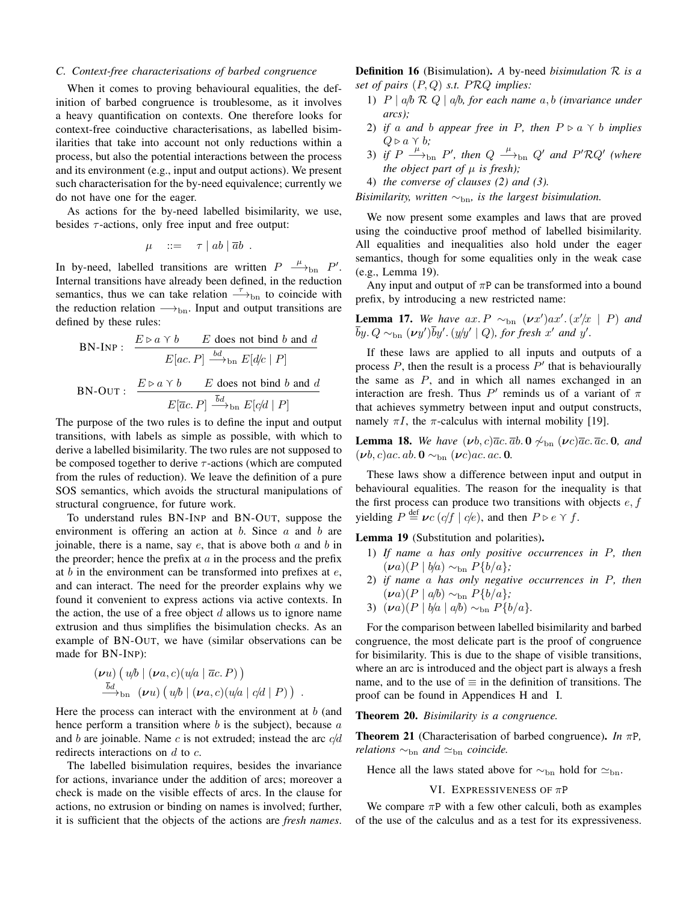#### *C. Context-free characterisations of barbed congruence*

When it comes to proving behavioural equalities, the definition of barbed congruence is troublesome, as it involves a heavy quantification on contexts. One therefore looks for context-free coinductive characterisations, as labelled bisimilarities that take into account not only reductions within a process, but also the potential interactions between the process and its environment (e.g., input and output actions). We present such characterisation for the by-need equivalence; currently we do not have one for the eager.

As actions for the by-need labelled bisimilarity, we use, besides  $\tau$ -actions, only free input and free output:

$$
\mu \quad ::= \quad \tau \mid ab \mid \overline{a}b \enspace .
$$

In by-need, labelled transitions are written  $P \xrightarrow{\mu}$  bn  $P'$ . Internal transitions have already been defined, in the reduction semantics, thus we can take relation  $\rightarrow$ <sub>bn</sub> to coincide with the reduction relation  $\longrightarrow$ <sub>bn</sub>. Input and output transitions are defined by these rules:

$$
BN\text{-}\text{INP}: \frac{E \triangleright a \land b \quad E \text{ does not bind } b \text{ and } d}{E[ac.P] \xrightarrow{bd} \text{bn } E[d/c \mid P]}
$$
\n
$$
BN\text{-}\text{OUT}: \frac{E \triangleright a \land b \quad E \text{ does not bind } b \text{ and } d}{E[\overline{ac}.P] \xrightarrow{\overline{bd}} \text{bn } E[c/d \mid P]}
$$

The purpose of the two rules is to define the input and output transitions, with labels as simple as possible, with which to derive a labelled bisimilarity. The two rules are not supposed to be composed together to derive  $\tau$ -actions (which are computed from the rules of reduction). We leave the definition of a pure SOS semantics, which avoids the structural manipulations of structural congruence, for future work.

To understand rules BN-INP and BN-OUT, suppose the environment is offering an action at  $b$ . Since  $a$  and  $b$  are joinable, there is a name, say  $e$ , that is above both  $a$  and  $b$  in the preorder; hence the prefix at  $\alpha$  in the process and the prefix at  $b$  in the environment can be transformed into prefixes at  $e$ , and can interact. The need for the preorder explains why we found it convenient to express actions via active contexts. In the action, the use of a free object  $d$  allows us to ignore name extrusion and thus simplifies the bisimulation checks. As an example of BN-OUT, we have (similar observations can be made for BN-INP):

$$
(\nu u) (u/b) (\nu a, c) (u/a \mid \overline{a}c. P))
$$
  
\n
$$
\xrightarrow{\overline{b}d} b_n (\nu u) (u/b) (\nu a, c) (u/a \mid c/d \mid P)) .
$$

Here the process can interact with the environment at  $b$  (and hence perform a transition where  $b$  is the subject), because  $a$ and b are joinable. Name c is not extruded; instead the arc  $c/d$ redirects interactions on  $d$  to  $c$ .

The labelled bisimulation requires, besides the invariance for actions, invariance under the addition of arcs; moreover a check is made on the visible effects of arcs. In the clause for actions, no extrusion or binding on names is involved; further, it is sufficient that the objects of the actions are *fresh names*. Definition 16 (Bisimulation). *A* by-need *bisimulation* R *is a set of pairs* (P, Q) *s.t.* PRQ *implies:*

- 1) P | a/b R Q | a/b*, for each name* a, b *(invariance under arcs);*
- 2) *if* a and *b* appear free in P, then  $P \triangleright a \land b$  *implies*  $Q \triangleright a \curlyvee b$ ;
- 3) if  $P \stackrel{\mu}{\longrightarrow}_{\text{bn}} P'$ , then  $Q \stackrel{\mu}{\longrightarrow}_{\text{bn}} Q'$  and  $P'RQ'$  (where *the object part of*  $\mu$  *is fresh*);
- 4) *the converse of clauses (2) and (3).*

*Bisimilarity, written*  $∼_{bn}$ *, is the largest bisimulation.* 

We now present some examples and laws that are proved using the coinductive proof method of labelled bisimilarity. All equalities and inequalities also hold under the eager semantics, though for some equalities only in the weak case (e.g., Lemma 19).

Any input and output of  $\pi P$  can be transformed into a bound prefix, by introducing a new restricted name:

**Lemma 17.** We have  $ax \cdot P \sim_{bn} (\nu x') ax' \cdot (x'/x \mid P)$  and  $\bar{b}y$ .  $Q \sim_{\text{bn}} (\nu y')\bar{b}y'$ .  $(y/y' \mid Q)$ , for fresh x' and y'.

If these laws are applied to all inputs and outputs of a process  $P$ , then the result is a process  $P'$  that is behaviourally the same as  $P$ , and in which all names exchanged in an interaction are fresh. Thus  $P'$  reminds us of a variant of  $\pi$ that achieves symmetry between input and output constructs, namely  $\pi I$ , the  $\pi$ -calculus with internal mobility [19].

**Lemma 18.** *We have*  $(\nu b, c)\overline{a}c \cdot \overline{a}b \cdot \mathbf{0} \not\sim_{\text{bn}} (\nu c)\overline{a}c \cdot \overline{a}c \cdot \mathbf{0}$ , and  $(\boldsymbol{\nu} b, c)ac. ab. \mathbf{0} \sim_{\text{bn}} (\boldsymbol{\nu} c)ac. ac. \mathbf{0}.$ 

These laws show a difference between input and output in behavioural equalities. The reason for the inequality is that the first process can produce two transitions with objects  $e, f$ yielding  $P \stackrel{\text{def}}{=} \nu c \left( \frac{cf}{f} \mid \frac{c}{e} \right)$ , and then  $P \triangleright e \curlyvee f$ .

Lemma 19 (Substitution and polarities).

- 1) *If name* a *has only positive occurrences in* P*, then*  $($ **v**a)(*P* |  $b/a$ ) ∼<sub>bn</sub> *P*{ $b/a$ }*;*
- 2) *if name* a *has only negative occurrences in* P*, then* (νa)(P | a/b) ∼bn P{b/a}*;*
- 3)  $(\nu a)(P \mid b/a \mid a/b) \sim_{bn} P\{b/a\}.$

For the comparison between labelled bisimilarity and barbed congruence, the most delicate part is the proof of congruence for bisimilarity. This is due to the shape of visible transitions, where an arc is introduced and the object part is always a fresh name, and to the use of  $\equiv$  in the definition of transitions. The proof can be found in Appendices H and I.

Theorem 20. *Bisimilarity is a congruence.*

Theorem 21 (Characterisation of barbed congruence). *In* πP*, relations* ∼<sub>bn</sub> *and* ≃<sub>bn</sub> *coincide.* 

Hence all the laws stated above for  $\sim_{\text{bn}}$  hold for  $\simeq_{\text{bn}}$ .

#### VI. EXPRESSIVENESS OF  $\pi P$

We compare  $\pi P$  with a few other calculi, both as examples of the use of the calculus and as a test for its expressiveness.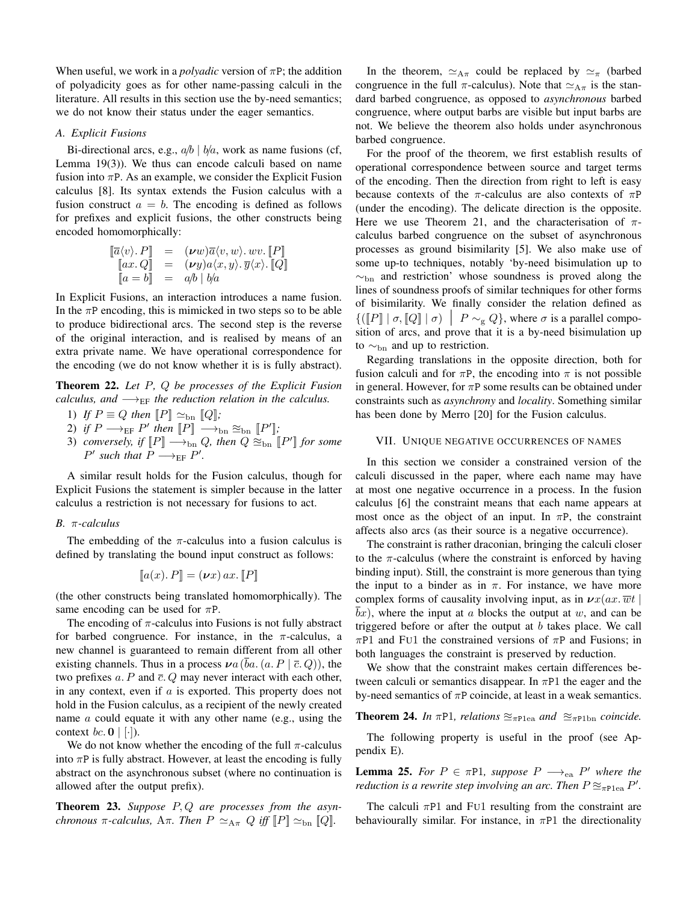When useful, we work in a *polyadic* version of πP; the addition of polyadicity goes as for other name-passing calculi in the literature. All results in this section use the by-need semantics; we do not know their status under the eager semantics.

#### *A. Explicit Fusions*

Bi-directional arcs, e.g.,  $a/b \mid b/a$ , work as name fusions (cf, Lemma 19(3)). We thus can encode calculi based on name fusion into  $\pi P$ . As an example, we consider the Explicit Fusion calculus [8]. Its syntax extends the Fusion calculus with a fusion construct  $a = b$ . The encoding is defined as follows for prefixes and explicit fusions, the other constructs being encoded homomorphically:

$$
\begin{array}{rcl}\n[\overline{a}\langle v\rangle, P] & = & (\nu w)\overline{a}\langle v, w\rangle. wv. \llbracket P \rrbracket \\
[ax. Q] & = & (\nu y)a\langle x, y\rangle. \overline{y}\langle x\rangle. \llbracket Q \rrbracket \\
[a = b] & = & a/b \mid b/a\n\end{array}
$$

In Explicit Fusions, an interaction introduces a name fusion. In the  $\pi P$  encoding, this is mimicked in two steps so to be able to produce bidirectional arcs. The second step is the reverse of the original interaction, and is realised by means of an extra private name. We have operational correspondence for the encoding (we do not know whether it is is fully abstract).

Theorem 22. *Let* P*,* Q *be processes of the Explicit Fusion calculus, and*  $\longrightarrow_{EF}$  *the reduction relation in the calculus.* 

- 1) *If*  $P \equiv Q$  *then*  $[P] \simeq$ <sub>bn</sub>  $[Q]$ *;*
- 2) if  $P \longrightarrow_{\text{EF}} P'$  then  $[P] \longrightarrow_{\text{bn}} \approx_{\text{bn}} [P']$ ;
- 3) *conversely, if*  $[P] \longrightarrow_{bn} Q$ *, then*  $Q \approx_{bn} [P']$  *for some*  $P'$  such that  $P \longrightarrow_{\text{EF}} P'$ .

A similar result holds for the Fusion calculus, though for Explicit Fusions the statement is simpler because in the latter calculus a restriction is not necessary for fusions to act.

#### *B.* π*-calculus*

The embedding of the  $\pi$ -calculus into a fusion calculus is defined by translating the bound input construct as follows:

$$
[\![a(x),P]\!] = (\nu x) \, ax. \, [\![P]\!]
$$

(the other constructs being translated homomorphically). The same encoding can be used for  $\pi P$ .

The encoding of  $\pi$ -calculus into Fusions is not fully abstract for barbed congruence. For instance, in the  $\pi$ -calculus, a new channel is guaranteed to remain different from all other existing channels. Thus in a process  $\nu a (ba. (a. P \mid \overline{c}, Q))$ , the two prefixes  $a$ . P and  $\overline{c}$ . Q may never interact with each other, in any context, even if  $a$  is exported. This property does not hold in the Fusion calculus, as a recipient of the newly created name a could equate it with any other name (e.g., using the context *bc*.  $\mathbf{0}$  | [·]).

We do not know whether the encoding of the full  $\pi$ -calculus into  $\pi P$  is fully abstract. However, at least the encoding is fully abstract on the asynchronous subset (where no continuation is allowed after the output prefix).

Theorem 23. *Suppose* P, Q *are processes from the asynchronous*  $\pi$ -calculus,  $A\pi$ *. Then*  $P \simeq_{A\pi} Q$  *iff*  $\llbracket P \rrbracket \simeq_{\text{bn}} \llbracket Q \rrbracket$ *.* 

In the theorem,  $\simeq_{A\pi}$  could be replaced by  $\simeq_{\pi}$  (barbed congruence in the full  $\pi$ -calculus). Note that  $\simeq_{A\pi}$  is the standard barbed congruence, as opposed to *asynchronous* barbed congruence, where output barbs are visible but input barbs are not. We believe the theorem also holds under asynchronous barbed congruence.

For the proof of the theorem, we first establish results of operational correspondence between source and target terms of the encoding. Then the direction from right to left is easy because contexts of the  $\pi$ -calculus are also contexts of  $\pi P$ (under the encoding). The delicate direction is the opposite. Here we use Theorem 21, and the characterisation of  $\pi$ calculus barbed congruence on the subset of asynchronous processes as ground bisimilarity [5]. We also make use of some up-to techniques, notably 'by-need bisimulation up to  $\sim$ <sub>bn</sub> and restriction' whose soundness is proved along the lines of soundness proofs of similar techniques for other forms of bisimilarity. We finally consider the relation defined as  $\{([\![P]\!]] \mid \sigma, [\![Q]\!] \mid \sigma) \mid P \sim_g Q\}$ , where  $\sigma$  is a parallel composition of arcs, and prove that it is a by-need bisimulation up to  $\sim_{\text{bn}}$  and up to restriction.

Regarding translations in the opposite direction, both for fusion calculi and for  $\pi P$ , the encoding into  $\pi$  is not possible in general. However, for  $\pi P$  some results can be obtained under constraints such as *asynchrony* and *locality*. Something similar has been done by Merro [20] for the Fusion calculus.

#### VII. UNIQUE NEGATIVE OCCURRENCES OF NAMES

In this section we consider a constrained version of the calculi discussed in the paper, where each name may have at most one negative occurrence in a process. In the fusion calculus [6] the constraint means that each name appears at most once as the object of an input. In  $\pi P$ , the constraint affects also arcs (as their source is a negative occurrence).

The constraint is rather draconian, bringing the calculi closer to the  $\pi$ -calculus (where the constraint is enforced by having binding input). Still, the constraint is more generous than tying the input to a binder as in  $\pi$ . For instance, we have more complex forms of causality involving input, as in  $\mathbf{v}x(ax.\overline{w}t)$  $bx$ ), where the input at a blocks the output at w, and can be triggered before or after the output at  $b$  takes place. We call  $\pi$ P1 and Fu1 the constrained versions of  $\pi$ P and Fusions; in both languages the constraint is preserved by reduction.

We show that the constraint makes certain differences between calculi or semantics disappear. In  $\pi$ P1 the eager and the by-need semantics of  $\pi P$  coincide, at least in a weak semantics.

#### **Theorem 24.** *In*  $\pi$ P1*, relations*  $\approx_{\pi \text{Plea}}$  *and*  $\approx_{\pi \text{Plbn}}$  *coincide.*

The following property is useful in the proof (see Appendix E).

**Lemma 25.** For  $P \in \pi P$ 1, suppose  $P \longrightarrow_{\text{ea}} P'$  where the *reduction is a rewrite step involving an arc. Then*  $P \approx_{\pi \text{Plea}} P'$ .

The calculi  $\pi$ P1 and FU1 resulting from the constraint are behaviourally similar. For instance, in  $\pi$ P1 the directionality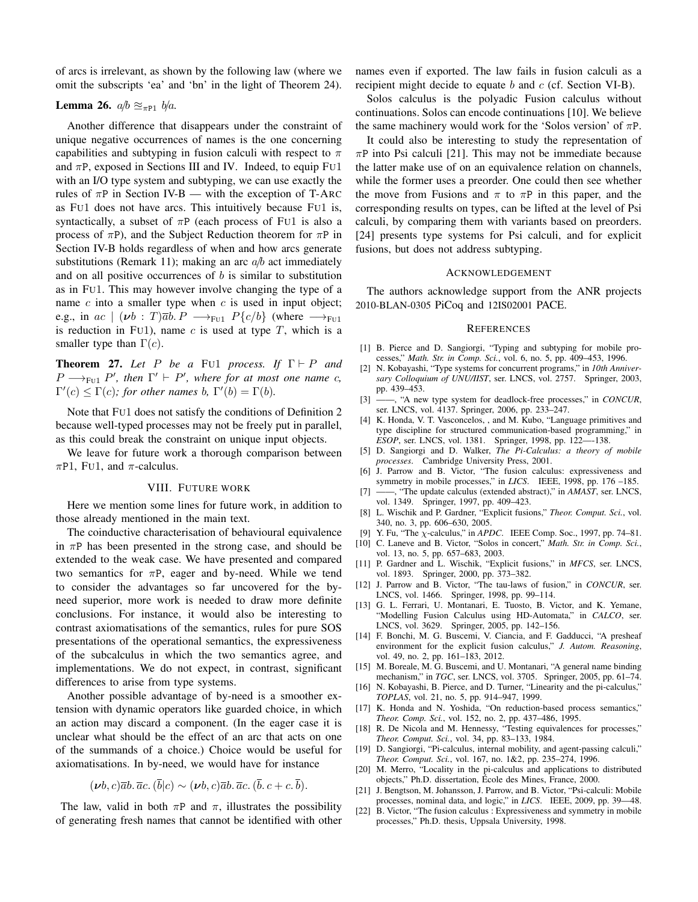of arcs is irrelevant, as shown by the following law (where we omit the subscripts 'ea' and 'bn' in the light of Theorem 24).

#### Lemma 26.  $a/b \approx_{\pi P1} b/a$ .

Another difference that disappears under the constraint of unique negative occurrences of names is the one concerning capabilities and subtyping in fusion calculi with respect to  $\pi$ and  $\pi P$ , exposed in Sections III and IV. Indeed, to equip FU1 with an I/O type system and subtyping, we can use exactly the rules of  $\pi P$  in Section IV-B — with the exception of T-ARC as FU1 does not have arcs. This intuitively because FU1 is, syntactically, a subset of  $\pi P$  (each process of FU1 is also a process of  $\pi P$ ), and the Subject Reduction theorem for  $\pi P$  in Section IV-B holds regardless of when and how arcs generate substitutions (Remark 11); making an arc  $a/b$  act immediately and on all positive occurrences of  $b$  is similar to substitution as in FU1. This may however involve changing the type of a name  $c$  into a smaller type when  $c$  is used in input object; e.g., in ac  $|(\nu b : T)\overline{a}b \cdot P \longrightarrow_{\text{FU1}} P\{c/b\}$  (where  $\longrightarrow_{\text{FU1}}$ is reduction in FU1), name  $c$  is used at type  $T$ , which is a smaller type than  $\Gamma(c)$ .

**Theorem 27.** Let P be a FU1 process. If  $\Gamma \vdash P$  and  $P \longrightarrow_{\text{Ful}} P'$ , then  $\Gamma' \vdash P'$ , where for at most one name c,  $\Gamma'(c) \leq \Gamma(c)$ *; for other names b,*  $\Gamma'(b) = \Gamma(b)$ *.* 

Note that FU1 does not satisfy the conditions of Definition 2 because well-typed processes may not be freely put in parallel, as this could break the constraint on unique input objects.

We leave for future work a thorough comparison between  $\pi$ P1, FU1, and  $\pi$ -calculus.

#### VIII. FUTURE WORK

Here we mention some lines for future work, in addition to those already mentioned in the main text.

The coinductive characterisation of behavioural equivalence in  $\pi P$  has been presented in the strong case, and should be extended to the weak case. We have presented and compared two semantics for  $\pi P$ , eager and by-need. While we tend to consider the advantages so far uncovered for the byneed superior, more work is needed to draw more definite conclusions. For instance, it would also be interesting to contrast axiomatisations of the semantics, rules for pure SOS presentations of the operational semantics, the expressiveness of the subcalculus in which the two semantics agree, and implementations. We do not expect, in contrast, significant differences to arise from type systems.

Another possible advantage of by-need is a smoother extension with dynamic operators like guarded choice, in which an action may discard a component. (In the eager case it is unclear what should be the effect of an arc that acts on one of the summands of a choice.) Choice would be useful for axiomatisations. In by-need, we would have for instance

$$
(\nu b, c)\overline{a}b.\overline{a}c.(\overline{b}|c) \sim (\nu b, c)\overline{a}b.\overline{a}c.(\overline{b}.c+c.\overline{b}).
$$

The law, valid in both  $\pi P$  and  $\pi$ , illustrates the possibility of generating fresh names that cannot be identified with other names even if exported. The law fails in fusion calculi as a recipient might decide to equate  $b$  and  $c$  (cf. Section VI-B).

Solos calculus is the polyadic Fusion calculus without continuations. Solos can encode continuations [10]. We believe the same machinery would work for the 'Solos version' of  $\pi P$ .

It could also be interesting to study the representation of  $\pi P$  into Psi calculi [21]. This may not be immediate because the latter make use of on an equivalence relation on channels, while the former uses a preorder. One could then see whether the move from Fusions and  $\pi$  to  $\pi P$  in this paper, and the corresponding results on types, can be lifted at the level of Psi calculi, by comparing them with variants based on preorders. [24] presents type systems for Psi calculi, and for explicit fusions, but does not address subtyping.

#### ACKNOWLEDGEMENT

The authors acknowledge support from the ANR projects 2010-BLAN-0305 PiCoq and 12IS02001 PACE.

#### **REFERENCES**

- [1] B. Pierce and D. Sangiorgi, "Typing and subtyping for mobile processes," *Math. Str. in Comp. Sci.*, vol. 6, no. 5, pp. 409–453, 1996.
- [2] N. Kobayashi, "Type systems for concurrent programs," in *10th Anniversary Colloquium of UNU/IIST*, ser. LNCS, vol. 2757. Springer, 2003, pp. 439–453.
- [3] ——, "A new type system for deadlock-free processes," in *CONCUR*, ser. LNCS, vol. 4137. Springer, 2006, pp. 233–247.
- [4] K. Honda, V. T. Vasconcelos, , and M. Kubo, "Language primitives and type discipline for structured communication-based programming," in *ESOP*, ser. LNCS, vol. 1381. Springer, 1998, pp. 122—-138.
- [5] D. Sangiorgi and D. Walker, *The Pi-Calculus: a theory of mobile processes*. Cambridge University Press, 2001.
- [6] J. Parrow and B. Victor, "The fusion calculus: expressiveness and symmetry in mobile processes," in *LICS*. IEEE, 1998, pp. 176 –185.
- [7] ——, "The update calculus (extended abstract)," in *AMAST*, ser. LNCS, vol. 1349. Springer, 1997, pp. 409–423.
- [8] L. Wischik and P. Gardner, "Explicit fusions," *Theor. Comput. Sci.*, vol. 340, no. 3, pp. 606–630, 2005.
- [9] Y. Fu, "The χ-calculus," in *APDC*. IEEE Comp. Soc., 1997, pp. 74–81.
- [10] C. Laneve and B. Victor, "Solos in concert," *Math. Str. in Comp. Sci.*, vol. 13, no. 5, pp. 657–683, 2003.
- [11] P. Gardner and L. Wischik, "Explicit fusions," in *MFCS*, ser. LNCS, vol. 1893. Springer, 2000, pp. 373–382.
- [12] J. Parrow and B. Victor, "The tau-laws of fusion," in *CONCUR*, ser. LNCS, vol. 1466. Springer, 1998, pp. 99–114.
- [13] G. L. Ferrari, U. Montanari, E. Tuosto, B. Victor, and K. Yemane, "Modelling Fusion Calculus using HD-Automata," in *CALCO*, ser. LNCS, vol. 3629. Springer, 2005, pp. 142–156.
- [14] F. Bonchi, M. G. Buscemi, V. Ciancia, and F. Gadducci, "A presheaf environment for the explicit fusion calculus," *J. Autom. Reasoning*, vol. 49, no. 2, pp. 161–183, 2012.
- [15] M. Boreale, M. G. Buscemi, and U. Montanari, "A general name binding mechanism," in *TGC*, ser. LNCS, vol. 3705. Springer, 2005, pp. 61–74.
- [16] N. Kobayashi, B. Pierce, and D. Turner, "Linearity and the pi-calculus," *TOPLAS*, vol. 21, no. 5, pp. 914–947, 1999.
- [17] K. Honda and N. Yoshida, "On reduction-based process semantics," *Theor. Comp. Sci.*, vol. 152, no. 2, pp. 437–486, 1995.
- [18] R. De Nicola and M. Hennessy, "Testing equivalences for processes," *Theor. Comput. Sci.*, vol. 34, pp. 83–133, 1984.
- [19] D. Sangiorgi, "Pi-calculus, internal mobility, and agent-passing calculi," *Theor. Comput. Sci.*, vol. 167, no. 1&2, pp. 235–274, 1996.
- [20] M. Merro, "Locality in the pi-calculus and applications to distributed objects," Ph.D. dissertation, Ecole des Mines, France, 2000. ´
- [21] J. Bengtson, M. Johansson, J. Parrow, and B. Victor, "Psi-calculi: Mobile processes, nominal data, and logic," in *LICS*. IEEE, 2009, pp. 39—48.
- [22] B. Victor, "The fusion calculus : Expressiveness and symmetry in mobile processes," Ph.D. thesis, Uppsala University, 1998.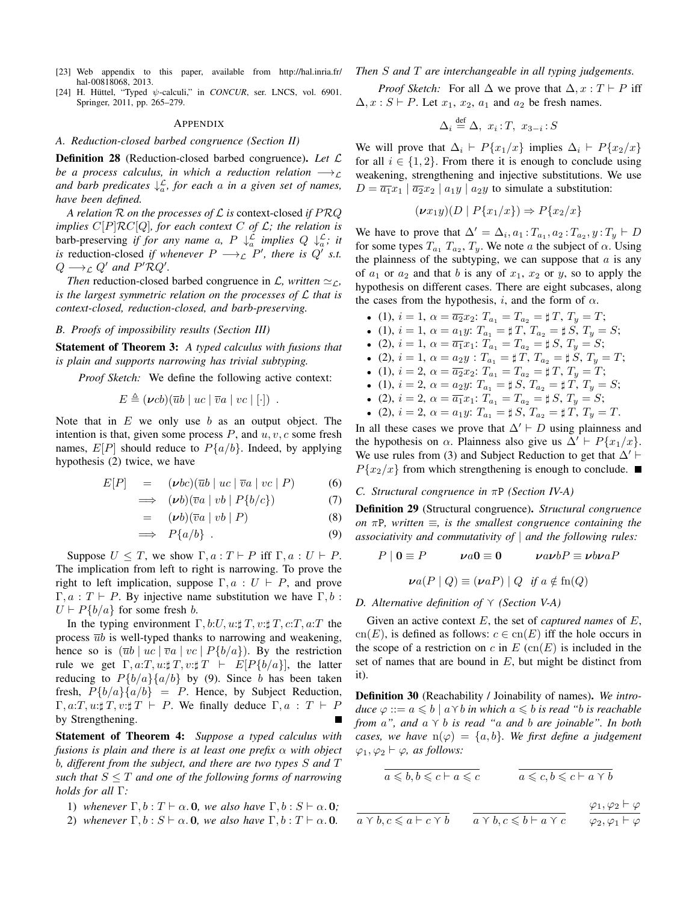- [23] Web appendix to this paper, available from http://hal.inria.fr/ hal-00818068, 2013.
- [24] H. Hüttel, "Typed  $\psi$ -calculi," in *CONCUR*, ser. LNCS, vol. 6901. Springer, 2011, pp. 265–279.

#### APPENDIX

#### *A. Reduction-closed barbed congruence (Section II)*

Definition 28 (Reduction-closed barbed congruence). *Let* L *be a process calculus, in which a reduction relation*  $\longrightarrow$ *and barb predicates* ↓ L a *, for each* a *in a given set of names, have been defined.*

*A relation* R *on the processes of* L *is* context-closed *if* PRQ *implies* C[P]RC[Q]*, for each context* C *of* L*; the relation is* barb-preserving *if for any name* a,  $P \downarrow_a^{\mathcal{L}}$  *implies*  $Q \downarrow_a^{\mathcal{L}}$ ; *it is* reduction-closed *if whenever*  $P \longrightarrow_{\mathcal{L}} P'$ *, there is*  $Q'$  *s.t.*  $Q \longrightarrow_{\mathcal{L}} Q'$  and  $P' \mathcal{R} Q'.$ 

*Then* reduction-closed barbed congruence in  $\mathcal{L}$ , written  $\simeq_{\mathcal{L}}$ , *is the largest symmetric relation on the processes of* L *that is context-closed, reduction-closed, and barb-preserving.*

#### *B. Proofs of impossibility results (Section III)*

Statement of Theorem 3: *A typed calculus with fusions that is plain and supports narrowing has trivial subtyping.*

*Proof Sketch:* We define the following active context:

$$
E \triangleq (\nu cb)(\overline{u}b \mid uc \mid \overline{v}a \mid vc \mid [\cdot]) .
$$

Note that in  $E$  we only use  $b$  as an output object. The intention is that, given some process  $P$ , and  $u, v, c$  some fresh names,  $E[P]$  should reduce to  $P\{a/b\}$ . Indeed, by applying hypothesis (2) twice, we have

$$
E[P] = (\nu bc)(\overline{u}b \mid uc \mid \overline{v}a \mid vc \mid P) \tag{6}
$$

$$
\implies (\nu b)(\overline{v}a \mid vb \mid P\{b/c\}) \tag{7}
$$

$$
= \quad (\nu b)(\overline{v}a \mid v b \mid P) \tag{8}
$$

$$
\implies P\{a/b\} \tag{9}
$$

Suppose  $U \leq T$ , we show  $\Gamma, a : T \vdash P$  iff  $\Gamma, a : U \vdash P$ . The implication from left to right is narrowing. To prove the right to left implication, suppose  $\Gamma, a : U \vdash P$ , and prove  $\Gamma, a: T \vdash P$ . By injective name substitution we have  $\Gamma, b$ :  $U \vdash P\{b/a\}$  for some fresh b.

In the typing environment  $\Gamma$ , b:U, u: $\sharp T$ , v: $\sharp T$ , c:T, a:T the process  $\overline{u}b$  is well-typed thanks to narrowing and weakening, hence so is  $(\overline{u}b \mid uc \mid \overline{v}a \mid vc \mid P\{b/a\})$ . By the restriction rule we get  $\Gamma, a: T, u: \sharp T, v: \sharp T \vdash E[P\{b/a\}],$  the latter reducing to  $P{b/a}{a/b}$  by (9). Since b has been taken fresh,  $P{b/a}{a/b} = P$ . Hence, by Subject Reduction,  $\Gamma, a: T, u: \sharp T, v: \sharp T \vdash P$ . We finally deduce  $\Gamma, a: T \vdash P$ by Strengthening.

Statement of Theorem 4: *Suppose a typed calculus with fusions is plain and there is at least one prefix* α *with object* b*, different from the subject, and there are two types* S *and* T *such that*  $S \leq T$  *and one of the following forms of narrowing holds for all* Γ*:*

- 1) whenever  $\Gamma$ ,  $b$  :  $T \vdash \alpha$ . **0**, we also have  $\Gamma$ ,  $b$  :  $S \vdash \alpha$ . **0**;
- 2) whenever  $\Gamma, b : S \vdash \alpha$ . 0, we also have  $\Gamma, b : T \vdash \alpha$ . 0.

*Then* S *and* T *are interchangeable in all typing judgements.*

*Proof Sketch:* For all  $\Delta$  we prove that  $\Delta, x : T \vdash P$  iff  $\Delta, x : S \vdash P$ . Let  $x_1, x_2, a_1$  and  $a_2$  be fresh names.

$$
\Delta_i \stackrel{\text{def}}{=} \Delta, \ x_i : T, \ x_{3-i} : S
$$

We will prove that  $\Delta_i$  ⊢  $P\{x_1/x\}$  implies  $\Delta_i$  ⊢  $P\{x_2/x\}$ for all  $i \in \{1, 2\}$ . From there it is enough to conclude using weakening, strengthening and injective substitutions. We use  $D = \overline{a_1}x_1 \mid \overline{a_2}x_2 \mid a_1y \mid a_2y$  to simulate a substitution:

$$
(\nu x_1 y)(D \mid P\{x_1/x\}) \Rightarrow P\{x_2/x\}
$$

We have to prove that  $\Delta' = \Delta_i, a_1 : T_{a_1}, a_2 : T_{a_2}, y : T_y \vdash D$ for some types  $T_{a_1}$   $T_{a_2}$ ,  $T_y$ . We note a the subject of  $\alpha$ . Using the plainness of the subtyping, we can suppose that  $a$  is any of  $a_1$  or  $a_2$  and that b is any of  $x_1, x_2$  or y, so to apply the hypothesis on different cases. There are eight subcases, along the cases from the hypothesis, i, and the form of  $\alpha$ .

- (1),  $i = 1$ ,  $\alpha = \overline{a_2} x_2$ :  $T_{a_1} = T_{a_2} = \sharp T$ ,  $T_y = T$ ;
- (1),  $i = 1$ ,  $\alpha = a_1 y$ :  $T_{a_1} = \sharp T$ ,  $T_{a_2} = \sharp S$ ,  $T_y = S$ ;
- (2),  $i = 1$ ,  $\alpha = \overline{a_1} x_1$ :  $T_{a_1} = T_{a_2} = \sharp S$ ,  $T_y = S$ ;
- (2),  $i = 1$ ,  $\alpha = a_2 y$ :  $T_{a_1} = \sharp T$ ,  $T_{a_2} = \sharp S$ ,  $T_y = T$ ;
- (1),  $i = 2$ ,  $\alpha = \overline{a_2}x_2$ :  $T_{a_1} = T_{a_2} = \sharp T$ ,  $T_y = T$ ;
- (1),  $i = 2$ ,  $\alpha = a_2 y$ :  $T_{a_1} = \sharp S$ ,  $T_{a_2} = \sharp T$ ,  $T_y = S$ ;
- (2),  $i = 2$ ,  $\alpha = \overline{a_1} x_1$ :  $T_{a_1} = T_{a_2} = \sharp S$ ,  $T_y = S$ ;
- (2),  $i = 2, \alpha = a_1 y$ :  $T_{a_1} = \sharp S$ ,  $T_{a_2} = \sharp T$ ,  $T_y = T$ .

In all these cases we prove that  $\Delta' \vdash D$  using plainness and the hypothesis on  $\alpha$ . Plainness also give us  $\Delta' \vdash P\{x_1/x\}$ . We use rules from (3) and Subject Reduction to get that  $\Delta'$  ⊢  $P\{x_2/x\}$  from which strengthening is enough to conclude.

#### *C. Structural congruence in* πP *(Section IV-A)*

Definition 29 (Structural congruence). *Structural congruence on* πP*, written* ≡*, is the smallest congruence containing the associativity and commutativity of* | *and the following rules:*

$$
P | 0 \equiv P \qquad \nu a0 \equiv 0 \qquad \nu a\nu bP \equiv \nu b\nu aP
$$

 $\mathbf{v}a(P \mid Q) \equiv (\mathbf{v}aP) \mid Q \text{ if } a \notin \text{fn}(Q)$ 

#### *D. Alternative definition of*  $\gamma$  *(Section V-A)*

Given an active context E, the set of *captured names* of E, cn(E), is defined as follows:  $c \in cn(E)$  iff the hole occurs in the scope of a restriction on c in  $E$  (cn(E) is included in the set of names that are bound in  $E$ , but might be distinct from it).

Definition 30 (Reachability / Joinability of names). *We introduce*  $\varphi ::= a \leq b \mid a \land b$  *in which*  $a \leq b$  *is read "b is reachable from*  $a$ ", and  $a \vee b$  *is read* " $a$  *and*  $b$  *are joinable*". In both *cases, we have*  $n(\varphi) = \{a, b\}$ *. We first define a judgement*  $\varphi_1, \varphi_2 \vdash \varphi$ *, as follows:* 

$$
\overline{a \leqslant b, b \leqslant c \vdash a \leqslant c} \qquad \qquad \overline{a \leqslant c, b \leqslant c \vdash a \vee b}
$$

 $a \vee b, c \leq a \vdash c \vee b$   $a \vee b, c \leq b \vdash a \vee c$  $\varphi_1, \varphi_2 \vdash \varphi$  $\varphi_2, \varphi_1 \vdash \varphi$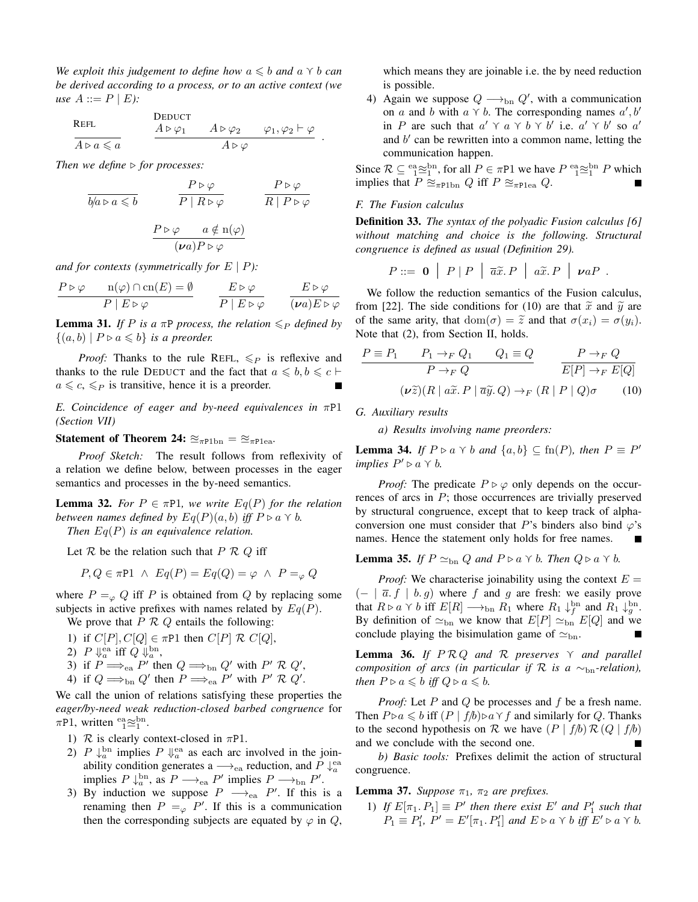*We exploit this judgement to define how*  $a \leq b$  *and*  $a \vee b$  *can be derived according to a process, or to an active context (we use*  $A ::= P | E$ *):* 

$$
\begin{array}{lll}\n\text{REFL} & \text{Deudot} \\
\hline\nA \triangleright a \leqslant a & A \triangleright \varphi_1 & A \triangleright \varphi_2 & \varphi_1, \varphi_2 \vdash \varphi \\
\hline\nA \triangleright a \leqslant a & A \triangleright \varphi\n\end{array}.
$$

*Then we define* ⊳ *for processes:* 

$$
\frac{P \triangleright \varphi}{b/a \triangleright a \leq b} \qquad \frac{P \triangleright \varphi}{P \mid R \triangleright \varphi} \qquad \frac{P \triangleright \varphi}{R \mid P \triangleright \varphi}
$$

$$
\frac{P \triangleright \varphi \qquad a \notin \mathbf{n}(\varphi)}{(\nu a) P \triangleright \varphi}
$$

*and for contexts (symmetrically for* E | P*):*

$$
\frac{P \triangleright \varphi \qquad \mathbf{n}(\varphi) \cap \mathbf{cn}(E) = \emptyset}{P \mid E \triangleright \varphi} \qquad \frac{E \triangleright \varphi}{P \mid E \triangleright \varphi} \qquad \frac{E \triangleright \varphi}{(\nu a) E \triangleright \varphi}
$$

**Lemma 31.** *If P is a*  $\pi$ *P process, the relation*  $\leq_P$  *defined by*  $\{(a, b) \mid P \triangleright a \leq b\}$  *is a preorder.* 

*Proof:* Thanks to the rule REFL,  $\leq_P$  is reflexive and thanks to the rule DEDUCT and the fact that  $a \leq b, b \leq c \vdash$  $a \leq c, \leq_P$  is transitive, hence it is a preorder. Г

*E. Coincidence of eager and by-need equivalences in* πP1 *(Section VII)*

#### Statement of Theorem 24:  $\approx_{\pi \text{Plbn}} = \approx_{\pi \text{Plea}}$ .

*Proof Sketch:* The result follows from reflexivity of a relation we define below, between processes in the eager semantics and processes in the by-need semantics.

**Lemma 32.** For  $P \in \pi P$ 1, we write  $Eq(P)$  for the relation *between names defined by*  $Eq(P)(a, b)$  *iff*  $P \triangleright a \triangleright b$ *. Then* Eq(P) *is an equivalence relation.*

Let  $R$  be the relation such that  $P R Q$  iff

$$
P, Q \in \pi P1 \ \land \ Eq(P) = Eq(Q) = \varphi \ \land \ P =_{\varphi} Q
$$

where  $P =_{\varphi} Q$  iff P is obtained from Q by replacing some subjects in active prefixes with names related by  $Eq(P)$ .

We prove that  $P \nvert R Q$  entails the following:

- 1) if  $C[P], C[Q] \in \pi P1$  then  $C[P] \mathcal{R} C[Q],$
- 2)  $P \Downarrow_a^{\text{ea}}$  iff  $Q \Downarrow_a^{\text{bn}}$ ,
- 3) if  $P \Longrightarrow_{ea} P'$  then  $Q \Longrightarrow_{bn} Q'$  with  $P' \mathcal{R} Q'$ ,
- 4) if  $Q \Longrightarrow_{\text{bn}} Q'$  then  $P \Longrightarrow_{\text{ea}} P'$  with  $P' \mathcal{R} Q'$ .

We call the union of relations satisfying these properties the *eager/by-need weak reduction-closed barbed congruence* for  $\pi$ P1, written  $_{1}^{\text{ea}}\approx_{1}^{\text{bn}}$ .

- 1)  $\mathcal R$  is clearly context-closed in  $\pi$ P1.
- 2)  $P \downarrow_a^{\text{bn}}$  implies  $P \downarrow_a^{\text{ea}}$  as each arc involved in the joinability condition generates a  $\longrightarrow_{\text{ea}}$  reduction, and  $P \downarrow_a^{\text{ea}}$ implies  $P \downarrow_a^{\text{bn}}$ , as  $P \longrightarrow_{\text{ea}} P'$  implies  $P \longrightarrow_{\text{bn}} P'$ .
- 3) By induction we suppose  $P \longrightarrow_{\text{ea}} P'$ . If this is a renaming then  $P =_{\varphi} P'$ . If this is a communication then the corresponding subjects are equated by  $\varphi$  in  $Q$ ,

which means they are joinable i.e. the by need reduction is possible.

4) Again we suppose  $Q \longrightarrow_{\text{bn}} Q'$ , with a communication on a and b with  $a \vee b$ . The corresponding names  $a', b'$ in P are such that  $a' \gamma a \gamma b \gamma b'$  i.e.  $a' \gamma b'$  so  $a'$ and  $b'$  can be rewritten into a common name, letting the communication happen.

Since  $\mathcal{R} \subseteq \mathbb{S}^{\text{an}}_{1}$  for all  $P \in \pi P1$  we have  $P \mathbb{S}^{\text{an}}_{1} \cong I P$  which implies that  $P \cong_{\pi \text{Plbn}} Q$  iff  $P \cong_{\pi \text{Plea}} Q$ .

#### *F. The Fusion calculus*

Definition 33. *The syntax of the polyadic Fusion calculus [6] without matching and choice is the following. Structural congruence is defined as usual (Definition 29).*

$$
P ::= \mathbf{0} | P | P | \overline{a}\widetilde{x}.P | a\widetilde{x}.P | \nu aP.
$$

We follow the reduction semantics of the Fusion calculus, from [22]. The side conditions for (10) are that  $\tilde{x}$  and  $\tilde{y}$  are of the same arity, that  $dom(\sigma) = \tilde{z}$  and that  $\sigma(x_i) = \sigma(y_i)$ . Note that (2), from Section II, holds.

$$
\frac{P \equiv P_1 \qquad P_1 \to_F Q_1 \qquad Q_1 \equiv Q}{P \to_F Q} \qquad \frac{P \to_F Q}{E[P] \to_F E[Q]}
$$

$$
(\nu \tilde{z})(R \mid a\tilde{x}.P \mid \overline{a}\tilde{y}.Q) \to_F (R \mid P \mid Q)\sigma \qquad (10)
$$

*G. Auxiliary results*

*a) Results involving name preorders:*

**Lemma 34.** *If*  $P \triangleright a \land b$  *and*  $\{a, b\} \subseteq \text{fn}(P)$ *, then*  $P \equiv P'$ *implies*  $P' \triangleright a \curlyvee b$ .

*Proof:* The predicate  $P \triangleright \varphi$  only depends on the occurrences of arcs in P; those occurrences are trivially preserved by structural congruence, except that to keep track of alphaconversion one must consider that P's binders also bind  $\varphi$ 's names. Hence the statement only holds for free names.

#### **Lemma 35.** *If*  $P \simeq_{\text{bn}} Q$  *and*  $P \triangleright a \curlyvee b$ *. Then*  $Q \triangleright a \curlyvee b$ *.*

*Proof:* We characterise joinability using the context  $E =$  $(- \mid \overline{a} \cdot f \mid b \cdot g)$  where f and g are fresh: we easily prove that  $R \triangleright a \land b$  iff  $E[R] \longrightarrow_{\text{bn}} R_1$  where  $R_1 \downarrow^{\text{bn}}_f$  and  $R_1 \downarrow^{\text{bn}}_g$ . By definition of  $\simeq_{\text{bn}}$  we know that  $E[P] \simeq_{\text{bn}} E[Q]$  and we conclude playing the bisimulation game of  $\simeq_{\text{bn}}$ .

**Lemma 36.** If  $PRQ$  and  $R$  preserves  $\gamma$  and parallel *composition of arcs (in particular if*  $\mathcal R$  *is a* ∼<sub>bn</sub>-relation), *then*  $P \triangleright a \leq b$  *iff*  $Q \triangleright a \leq b$ *.* 

*Proof:* Let P and Q be processes and f be a fresh name. Then  $P \triangleright a \leq b$  iff  $(P | f/b) \triangleright a \curlyvee f$  and similarly for Q. Thanks to the second hypothesis on R we have  $(P | f/b) \mathcal{R} (Q | f/b)$ and we conclude with the second one.

*b) Basic tools:* Prefixes delimit the action of structural congruence.

#### **Lemma 37.** *Suppose*  $\pi_1$ ,  $\pi_2$  *are prefixes.*

1) If  $E[\pi_1, P_1] \equiv P'$  then there exist E' and  $P'_1$  such that  $P_1 \equiv P'_1$ ,  $P' = E'[\pi_1, P'_1]$  and  $E \triangleright a \land b$  iff  $E' \triangleright a \land b$ .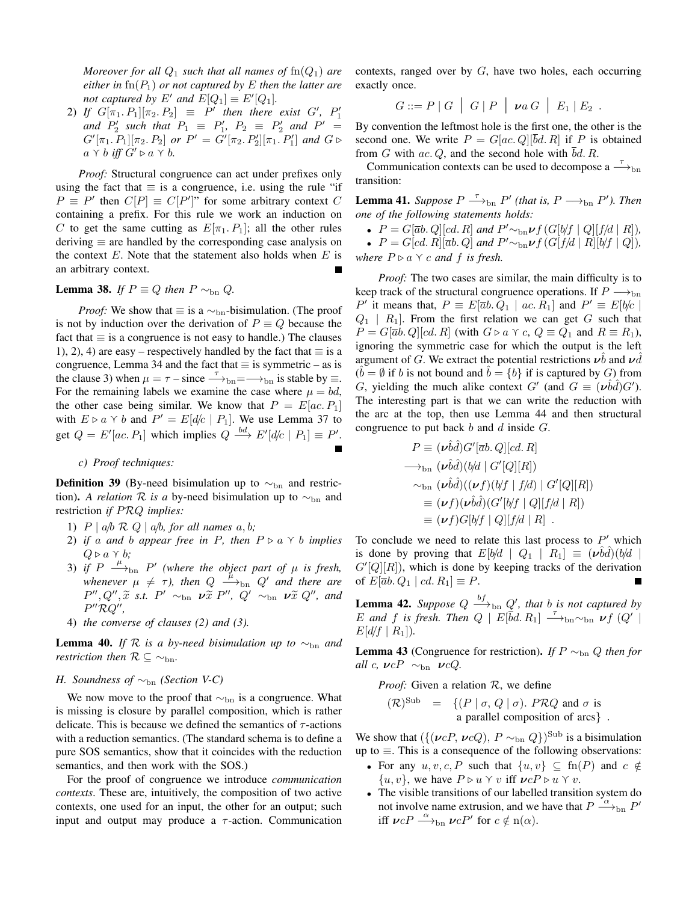*Moreover for all*  $Q_1$  *such that all names of*  $\text{fn}(Q_1)$  *are either in*  $\text{fn}(P_1)$  *or not captured by* E *then the latter are not captured by*  $E'$  *and*  $E[Q_1] \equiv E'[Q_1]$ *.* 

2) If  $G[\pi_1, P_1][\pi_2, P_2] \equiv P'$  then there exist  $G'$ ,  $P'_1$ *and*  $P'_2$  *such that*  $P_1 \equiv P'_1$ ,  $P_2 \equiv P'_2$  *and*  $P' =$  $G'[\pi_1, P_1][\pi_2, P_2]$  or  $P' = G'[\pi_2, P'_2][\pi_1, P'_1]$  and  $G \triangleright$  $a \vee b$  *iff*  $G' \triangleright a \vee b$ .

*Proof:* Structural congruence can act under prefixes only using the fact that  $\equiv$  is a congruence, i.e. using the rule "if  $P \equiv P'$  then  $C[P] \equiv C[P']$ " for some arbitrary context C containing a prefix. For this rule we work an induction on C to get the same cutting as  $E[\pi_1, P_1]$ ; all the other rules deriving  $\equiv$  are handled by the corresponding case analysis on the context  $E$ . Note that the statement also holds when  $E$  is an arbitrary context.

#### Lemma 38. *If*  $P \equiv Q$  *then*  $P \sim_{bn} Q$ .

*Proof:* We show that  $\equiv$  is a  $\sim$ <sub>bn</sub>-bisimulation. (The proof is not by induction over the derivation of  $P \equiv Q$  because the fact that  $\equiv$  is a congruence is not easy to handle.) The clauses 1), 2), 4) are easy – respectively handled by the fact that  $\equiv$  is a congruence, Lemma 34 and the fact that  $\equiv$  is symmetric – as is the clause 3) when  $\mu = \tau - \text{since} \rightarrow b_{\text{bn}} = \rightarrow b_{\text{bn}}$  is stable by  $\equiv$ . For the remaining labels we examine the case where  $\mu = bd$ , the other case being similar. We know that  $P = E[ac, P_1]$ with  $E \triangleright a \land b$  and  $P' = E[d/c \mid P_1]$ . We use Lemma 37 to get  $Q = E'[ac, P_1]$  which implies  $Q \stackrel{bd}{\longrightarrow} E'[d/c \mid P_1] \equiv P'.$ 

#### *c) Proof techniques:*

**Definition 39** (By-need bisimulation up to  $\sim_{\text{bn}}$  and restriction). *A relation*  $\mathcal R$  *is a* by-need bisimulation up to  $\sim_{\text{bn}}$  and restriction *if* PRQ *implies:*

- 1)  $P \mid a/b \mathcal{R} Q \mid a/b$ , for all names  $a, b$ ;
- 2) *if* a and *b* appear free in P, then  $P \triangleright a \land b$  *implies*  $Q \triangleright a \curlyvee b$ ;
- 3) if  $P \stackrel{\mu}{\longrightarrow}_{\text{bn}} P'$  (where the object part of  $\mu$  is fresh, whenever  $\mu \neq \tau$ ), then  $Q \stackrel{\mu}{\longrightarrow}_{\text{bn}} Q'$  and there are  $P'', Q'', \tilde{x}$  *s.t.*  $P' \sim_{\text{bn}} \nu \tilde{x} P'', Q' \sim_{\text{bn}} \nu \tilde{x} Q'',$  and P ′′RQ′′ *,*
- 4) *the converse of clauses (2) and (3).*

**Lemma 40.** *If*  $\mathcal{R}$  *is a by-need bisimulation up to*  $\sim_{\text{bn}}$  *and restriction then*  $\mathcal{R} \subseteq \sim_{\text{bn}}$ *.* 

#### *H. Soundness of* ∼<sub>bn</sub> *(Section V-C)*

We now move to the proof that  $\sim_{bn}$  is a congruence. What is missing is closure by parallel composition, which is rather delicate. This is because we defined the semantics of  $\tau$ -actions with a reduction semantics. (The standard schema is to define a pure SOS semantics, show that it coincides with the reduction semantics, and then work with the SOS.)

For the proof of congruence we introduce *communication contexts*. These are, intuitively, the composition of two active contexts, one used for an input, the other for an output; such input and output may produce a  $\tau$ -action. Communication contexts, ranged over by  $G$ , have two holes, each occurring exactly once.

$$
G ::= P | G | G | P | \nu a G | E_1 | E_2 .
$$

By convention the leftmost hole is the first one, the other is the second one. We write  $P = G[ac, Q][\overline{b}d, R]$  if P is obtained from G with ac. Q, and the second hole with  $\overline{b}d$ . R.

Communication contexts can be used to decompose a  $\rightarrow$ <sub>bn</sub> transition:

**Lemma 41.** Suppose  $P \stackrel{\tau}{\longrightarrow}_{\text{bn}} P'$  (that is,  $P \longrightarrow_{\text{bn}} P'$ ). Then *one of the following statements holds:*

•  $P = G[\overline{a}b, Q][cd, R]$  *and*  $P' \sim_{bn} \nu f(G[b/f | Q][f/d | R]),$ 

•  $P = G[cd, R][\overline{a}b, Q]$  and  $P' \sim_{\text{bn}} \nu f(G[f/d | R][b/f | Q]),$ 

*where*  $P \triangleright a \curlyvee c$  *and*  $f$  *is fresh.* 

*Proof:* The two cases are similar, the main difficulty is to keep track of the structural congruence operations. If  $P \longrightarrow_{\text{bn}}$ P' it means that,  $P \equiv E[\overline{a}b, Q_1 \mid ac, R_1]$  and  $P' \equiv E[b/c \mid b]$  $Q_1$  |  $R_1$ ]. From the first relation we can get G such that  $P = G[\overline{a}b, Q][cd, R]$  (with  $G \triangleright a \curlyvee c$ ,  $Q \equiv Q_1$  and  $R \equiv R_1$ ), ignoring the symmetric case for which the output is the left argument of G. We extract the potential restrictions  $\nu b$  and  $\nu d$  $\hat{b} = \emptyset$  if b is not bound and  $\hat{b} = \{b\}$  if is captured by G) from G, yielding the much alike context G' (and  $G \equiv (\nu \hat{b} \hat{d}) G'$ ). The interesting part is that we can write the reduction with the arc at the top, then use Lemma 44 and then structural congruence to put back  $b$  and  $d$  inside  $G$ .

$$
P \equiv (\nu \hat{b}\hat{d})G'[\overline{a}b,Q][cd,R]
$$
  
\n
$$
\longrightarrow_{\text{bn}} (\nu \hat{b}\hat{d})(b/d | G'[Q][R])
$$
  
\n
$$
\sim_{\text{bn}} (\nu \hat{b}\hat{d})( (\nu f)(b/f | f/d) | G'[Q][R])
$$
  
\n
$$
\equiv (\nu f)(\nu \hat{b}\hat{d})(G'[b/f | Q][f/d | R])
$$
  
\n
$$
\equiv (\nu f)G[b/f | Q][f/d | R].
$$

To conclude we need to relate this last process to  $P'$  which is done by proving that  $E[b/d \mid Q_1 \mid R_1] \equiv (\nu \hat{b} \hat{d}) (\hat{b}/d \mid$  $G'[Q][R]$ , which is done by keeping tracks of the derivation of  $E[\overline{a}b, Q_1 | cd, R_1] \equiv P$ .

**Lemma 42.** Suppose  $Q \xrightarrow{bf} b_{\text{bn}} Q'$ , that b is not captured by E and f is fresh. Then  $Q \mid E[\overline{b}d, R_1] \longrightarrow_{\text{bn}} \sim_{\text{bn}} \nu f(Q')$  $E[d/f | R_1]).$ 

**Lemma 43** (Congruence for restriction). *If*  $P \sim_{\text{bn}} Q$  *then for all* c,  $\nu cP \sim_{\text{bn}} \nu cQ$ .

*Proof:* Given a relation  $\mathcal{R}$ , we define

$$
(\mathcal{R})^{\text{Sub}} = \{ (P \mid \sigma, Q \mid \sigma). PRQ \text{ and } \sigma \text{ is a parallel composition of arcs } \}.
$$

We show that  $({({\nu cP},{\nu cQ}), P \sim_{\text{bn}} Q})^{\text{Sub}}$  is a bisimulation up to  $\equiv$ . This is a consequence of the following observations:

- For any  $u, v, c, P$  such that  $\{u, v\} \subset \text{fn}(P)$  and  $c \notin$  $\{u, v\}$ , we have  $P \triangleright u \curlyvee v$  iff  $\nu c P \triangleright u \curlyvee v$ .
- The visible transitions of our labelled transition system do not involve name extrusion, and we have that  $P \stackrel{\sim}{\longrightarrow}_{\text{bn}} P'$ iff  $\nu c P \stackrel{\alpha}{\longrightarrow}_{\text{bn}} \nu c P'$  for  $c \notin n(\alpha)$ .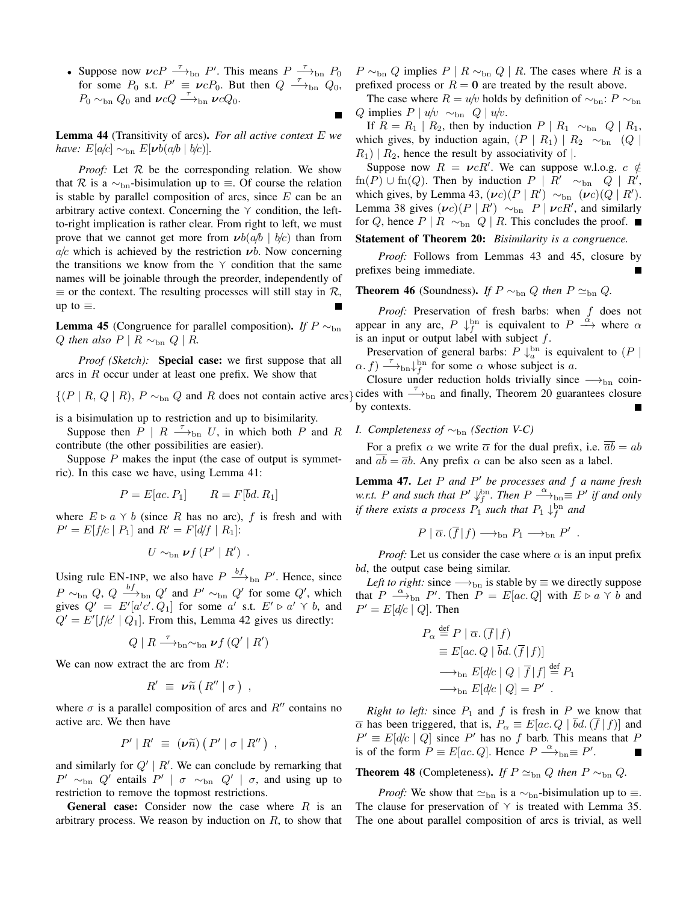• Suppose now  $\nu cP \stackrel{\tau}{\longrightarrow}_{\text{bn}} P'$ . This means  $P \stackrel{\tau}{\longrightarrow}_{\text{bn}} P_0$ for some  $P_0$  s.t.  $P' \equiv \nu c P_0$ . But then  $Q \stackrel{\tau}{\longrightarrow}_{\text{bn}} Q_0$ ,  $P_0 \sim_{\text{bn}} Q_0$  and  $\nu c Q \stackrel{\tau}{\longrightarrow}_{\text{bn}} \nu c Q_0$ .

Lemma 44 (Transitivity of arcs). *For all active context* E *we have:*  $E[a/c] \sim_{\text{bn}} E[\nu b(a/b \mid b/c)]$ .

*Proof:* Let  $R$  be the corresponding relation. We show that R is a  $\sim_{\text{bn}}$ -bisimulation up to  $\equiv$ . Of course the relation is stable by parallel composition of arcs, since  $E$  can be an arbitrary active context. Concerning the  $\gamma$  condition, the leftto-right implication is rather clear. From right to left, we must prove that we cannot get more from  $\boldsymbol{\nu}b(a/b \mid b/c)$  than from  $a/c$  which is achieved by the restriction  $\nu b$ . Now concerning the transitions we know from the  $\gamma$  condition that the same names will be joinable through the preorder, independently of  $\equiv$  or the context. The resulting processes will still stay in  $\mathcal{R}$ , up to  $\equiv$ .

**Lemma 45** (Congruence for parallel composition). *If*  $P \sim_{\text{bn}}$ Q then also  $P \mid R \sim_{\text{bn}} Q \mid R$ .

*Proof (Sketch):* **Special case:** we first suppose that all arcs in R occur under at least one prefix. We show that

is a bisimulation up to restriction and up to bisimilarity.

Suppose then  $\overline{P}$  |  $R \longrightarrow_{\text{bn}} U$ , in which both  $\overline{P}$  and  $\overline{R}$ contribute (the other possibilities are easier).

Suppose  $P$  makes the input (the case of output is symmetric). In this case we have, using Lemma 41:

$$
P = E[ac, P_1] \qquad R = F[\bar{b}d, R_1]
$$

where  $E \triangleright a \land b$  (since R has no arc), f is fresh and with  $P' = E[f/c | P_1]$  and  $R' = F[d/f | R_1]$ :

$$
U \sim_{\text{bn}} \nu f(P' | R') .
$$

Using rule EN-INP, we also have  $P \xrightarrow{bf} b_n P'$ . Hence, since  $P \sim_{\text{bn}} Q$ ,  $Q \stackrel{bf}{\longrightarrow}_{\text{bn}} Q'$  and  $P' \sim_{\text{bn}} Q'$  for some  $Q'$ , which gives  $Q' = E'[a'c'.Q_1]$  for some a' s.t.  $E' \triangleright a' \preceq b$ , and  $Q' = E'[f/c' | Q_1]$ . From this, Lemma 42 gives us directly:

$$
Q \mid R \xrightarrow{\tau}_{\text{bn}} \sim_{\text{bn}} \nu f(Q' \mid R')
$$

We can now extract the arc from  $R'$ :

$$
R' \equiv \nu \widetilde{n} (R'' | \sigma) ,
$$

where  $\sigma$  is a parallel composition of arcs and  $R''$  contains no active arc. We then have

$$
P' | R' \equiv (\nu \widetilde{n}) (P' | \sigma | R'')
$$

and similarly for  $Q' | R'$ . We can conclude by remarking that  $P' \sim_{\text{bn}} Q'$  entails  $P' | σ ∼_{\text{bn}} Q' | σ$ , and using up to restriction to remove the topmost restrictions.

**General case:** Consider now the case where  $R$  is an arbitrary process. We reason by induction on  $R$ , to show that

 $P \sim_{\text{bn}} Q$  implies  $P | R \sim_{\text{bn}} Q | R$ . The cases where R is a prefixed process or  $R = 0$  are treated by the result above.

The case where  $R = u/v$  holds by definition of  $\sim_{\text{bn}} P \sim_{\text{bn}} P$ Q implies  $P \mid u/v \sim_{\text{bn}} Q \mid u/v$ .

If  $R = R_1 | R_2$ , then by induction  $P | R_1 \sim_{\text{bn}} Q | R_1$ , which gives, by induction again,  $(P | R_1) | R_2 \sim_{\text{bn}} (Q |$  $R_1$ ) |  $R_2$ , hence the result by associativity of |.

Suppose now  $R = \nu cR'$ . We can suppose w.l.o.g.  $c \notin$  $fn(P) \cup fn(Q)$ . Then by induction  $P \mid R' \sim_{bn} Q \mid R'$ , which gives, by Lemma 43,  $(\nu c)(P \mid R') \sim_{\text{bn}} (\nu c)(Q \mid R')$ . Lemma 38 gives  $(\nu c)(P \mid R') \sim_{\text{bn}} P \mid \nu cR'$ , and similarly for Q, hence  $P \mid R \sim_{\text{bn}} Q \mid R$ . This concludes the proof. ■

Statement of Theorem 20: *Bisimilarity is a congruence.*

*Proof:* Follows from Lemmas 43 and 45, closure by prefixes being immediate.

**Theorem 46** (Soundness). *If*  $P \sim_{bn} Q$  *then*  $P \simeq_{bn} Q$ .

Proof: Preservation of fresh barbs: when f does not appear in any arc,  $P \downarrow_f^{\text{bn}}$  is equivalent to  $P \stackrel{\alpha}{\longrightarrow}$  where  $\alpha$ is an input or output label with subject  $f$ .

Preservation of general barbs:  $P \downarrow_a^{\text{bn}}$  is equivalent to  $(P \mid$  $\alpha$ . f)  $\xrightarrow{\tau}$ <sub>bn</sub> $\downarrow_f$ <sup>bn</sup> for some  $\alpha$  whose subject is a.

Closure under reduction holds trivially since  $\longrightarrow$ <sub>bn</sub> coin- $\{(P \mid R, Q \mid R), P \sim_{\text{bn}} Q \text{ and } R \text{ does not contain active arcs}\}$  cides with  $\rightarrow_{\text{bn}}$  and finally, Theorem 20 guarantees closure by contexts. П

#### *I. Completeness of* ∼<sub>bn</sub> *(Section V-C)*

For a prefix  $\alpha$  we write  $\overline{\alpha}$  for the dual prefix, i.e.  $\overline{ab} = ab$ and  $ab = \overline{a}b$ . Any prefix  $\alpha$  can be also seen as a label.

Lemma 47. *Let* P *and* P ′ *be processes and* f *a name fresh w.r.t.* P and such that  $P' \downarrow_f^{\text{bn}}$ . Then  $P \stackrel{\alpha}{\longrightarrow}_{\text{bn}} \equiv P'$  if and only *if there exists a process*  $P_1$  *such that*  $P_1 \downarrow_f^{\text{bn}}$  and

$$
P | \overline{\alpha}. (\overline{f} | f) \longrightarrow_{\text{bn}} P_1 \longrightarrow_{\text{bn}} P'
$$

.

*Proof:* Let us consider the case where  $\alpha$  is an input prefix bd, the output case being similar.

*Left to right:* since  $\longrightarrow$ <sub>bn</sub> is stable by  $\equiv$  we directly suppose that  $P \xrightarrow{\alpha}$  b<sub>n</sub>  $P'$ . Then  $P = E[ac, Q]$  with  $E \triangleright a \vee b$  and  $P' = E[d/c | Q]$ . Then

$$
P_{\alpha} \stackrel{\text{def}}{=} P \mid \overline{\alpha}. (\overline{f} \mid f)
$$
  
\n
$$
\equiv E[ac. Q \mid \overline{b}d. (\overline{f} \mid f)]
$$
  
\n
$$
\longrightarrow_{\text{bn}} E[d/c \mid Q \mid \overline{f} \mid f] \stackrel{\text{def}}{=} P_1
$$
  
\n
$$
\longrightarrow_{\text{bn}} E[d/c \mid Q] = P' .
$$

*Right to left:* since  $P_1$  and  $f$  is fresh in  $P$  we know that  $\overline{\alpha}$  has been triggered, that is,  $P_{\alpha} \equiv E[ac \cdot Q \mid bd \cdot (f \mid f)]$  and  $P' \equiv E[d/c \mid Q]$  since P' has no f barb. This means that P is of the form  $P \equiv E[ac, Q]$ . Hence  $P \stackrel{\alpha}{\longrightarrow}_{\text{bn}} \equiv P'$ .

**Theorem 48** (Completeness). *If*  $P \simeq_{\text{bn}} Q$  *then*  $P \sim_{\text{bn}} Q$ .

*Proof:* We show that  $\simeq_{\text{bn}}$  is a  $\sim_{\text{bn}}$ -bisimulation up to  $\equiv$ . The clause for preservation of  $\gamma$  is treated with Lemma 35. The one about parallel composition of arcs is trivial, as well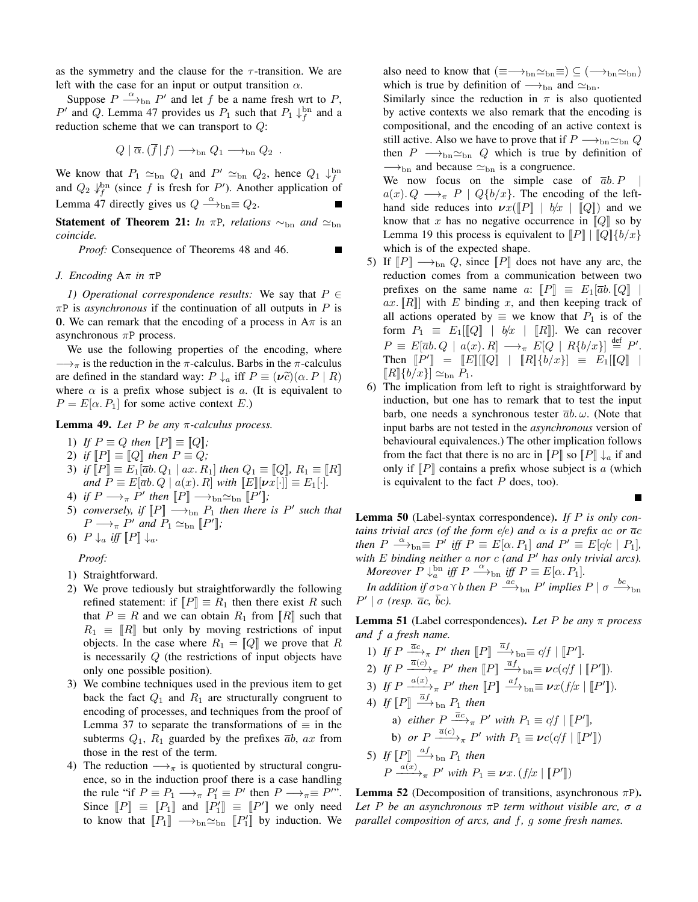as the symmetry and the clause for the  $\tau$ -transition. We are left with the case for an input or output transition  $\alpha$ .

Suppose  $P \stackrel{\alpha}{\longrightarrow}_{\text{bn}} P'$  and let f be a name fresh wrt to P, P' and Q. Lemma 47 provides us  $P_1$  such that  $P_1 \downarrow_f^{\text{bn}}$  and a reduction scheme that we can transport to Q:

$$
Q | \overline{\alpha}.(\overline{f}|f) \longrightarrow_{\text{bn}} Q_1 \longrightarrow_{\text{bn}} Q_2 .
$$

We know that  $P_1 \simeq_{\text{bn}} Q_1$  and  $P' \simeq_{\text{bn}} Q_2$ , hence  $Q_1 \downarrow^{\text{bn}}_f$ and  $Q_2 \downarrow_f^{\text{bn}}$  (since f is fresh for P'). Another application of Lemma 47 directly gives us  $Q \stackrel{\alpha}{\longrightarrow}_{bn} \equiv Q_2$ .

**Statement of Theorem 21:** *In*  $\pi$ *P*, *relations*  $\sim_{\text{bn}}$  *and*  $\approx_{\text{bn}}$ *coincide.*

*Proof:* Consequence of Theorems 48 and 46.

Г

#### *J. Encoding* Aπ *in* πP

*1) Operational correspondence results:* We say that  $P \in$  $\pi P$  is *asynchronous* if the continuation of all outputs in P is 0. We can remark that the encoding of a process in  $A\pi$  is an asynchronous  $\pi P$  process.

We use the following properties of the encoding, where  $\longrightarrow_{\pi}$  is the reduction in the  $\pi$ -calculus. Barbs in the  $\pi$ -calculus are defined in the standard way:  $P \downarrow_a$  iff  $P \equiv (\nu \tilde{c})(\alpha.P \mid R)$ where  $\alpha$  is a prefix whose subject is a. (It is equivalent to  $P = E[\alpha, P_1]$  for some active context E.)

Lemma 49. *Let* P *be any* π*-calculus process.*

1) If 
$$
P \equiv Q
$$
 then  $[P] \equiv [Q]$ ;

2) *if*  $\llbracket P \rrbracket \equiv \llbracket Q \rrbracket$  *then*  $P \equiv Q$ ;

- 3) *if*  $[P] \equiv E_1[\bar{a}b, Q_1 | ax, R_1]$  *then*  $Q_1 \equiv [Q]$ *,*  $R_1 \equiv [R]$ *and*  $P \equiv E[\overline{a}b, Q \mid a(x), R]$  *with*  $\llbracket E \rrbracket[\nu x[\cdot]] \equiv E_1[\cdot].$
- 4) *if*  $P \longrightarrow_{\pi} P'$  then  $[ P ] \longrightarrow_{\text{bn}} \simeq_{\text{bn}} [ P' ]$ ;
- 5) *conversely, if*  $[P] \longrightarrow_{bn} P_1$  *then there is*  $P'$  *such that*  $P \longrightarrow_{\pi} P'$  and  $P_1 \simeq_{\text{bn}} [P']$ ;
- 6)  $P \downarrow_a \text{ iff } \|P\| \downarrow_a$ .

*Proof:*

1) Straightforward.

- 2) We prove tediously but straightforwardly the following refined statement: if  $\llbracket P \rrbracket \equiv R_1$  then there exist R such that  $P \equiv R$  and we can obtain  $R_1$  from  $\llbracket R \rrbracket$  such that  $R_1 \equiv \llbracket R \rrbracket$  but only by moving restrictions of input objects. In the case where  $R_1 = [Q]$  we prove that R is necessarily Q (the restrictions of input objects have only one possible position).
- 3) We combine techniques used in the previous item to get back the fact  $Q_1$  and  $R_1$  are structurally congruent to encoding of processes, and techniques from the proof of Lemma 37 to separate the transformations of  $\equiv$  in the subterms  $Q_1$ ,  $R_1$  guarded by the prefixes  $\overline{ab}$ ,  $ax$  from those in the rest of the term.
- 4) The reduction  $\longrightarrow_{\pi}$  is quotiented by structural congruence, so in the induction proof there is a case handling the rule "if  $P \equiv P_1 \longrightarrow_{\pi} P'_1 \equiv P'$  then  $P \longrightarrow_{\pi} \equiv P''$ ". Since  $\llbracket P \rrbracket \equiv \llbracket P_1 \rrbracket$  and  $\llbracket P'_1 \rrbracket \equiv \llbracket P' \rrbracket$  we only need to know that  $[[P_1]] \longrightarrow_{\text{bn}} \simeq_{\text{bn}} [P'_1]$  by induction. We

also need to know that  $(\equiv \longrightarrow_{bn} \simeq_{bn} \equiv ) \subseteq (\longrightarrow_{bn} \simeq_{bn})$ which is true by definition of  $\rightarrow$ <sub>bn</sub> and  $\simeq$ <sub>bn</sub>.

Similarly since the reduction in  $\pi$  is also quotiented by active contexts we also remark that the encoding is compositional, and the encoding of an active context is still active. Also we have to prove that if  $P \longrightarrow_{\text{bn}} \simeq_{\text{bn}} Q$ then  $P \longrightarrow_{\text{bn}} \simeq_{\text{bn}} Q$  which is true by definition of  $\rightarrow$ <sub>bn</sub> and because  $\simeq$ <sub>bn</sub> is a congruence.

We now focus on the simple case of  $\overline{a}b$ . P  $a(x)$ .  $Q \longrightarrow_{\pi} P \mid Q\{b/x\}$ . The encoding of the lefthand side reduces into  $\nu x(\llbracket P \rrbracket + b/x + \llbracket Q \rrbracket)$  and we know that x has no negative occurrence in  $\llbracket Q \rrbracket$  so by Lemma 19 this process is equivalent to  $[ P ] | [ Q ] | \{b/x\}$ which is of the expected shape.

- 5) If  $[P] \longrightarrow_{bn} Q$ , since  $[P]$  does not have any arc, the reduction comes from a communication between two prefixes on the same name a:  $||P|| \equiv E_1|\overline{a}b.||Q||$ ax.  $\llbracket R \rrbracket$  with E binding x, and then keeping track of all actions operated by  $\equiv$  we know that  $P_1$  is of the form  $P_1 \equiv E_1[[Q] \mid b/x \mid [R]]$ . We can recover  $P \equiv E[\overline{a}b. Q \mid a(x). R] \longrightarrow_{\pi} E[Q \mid R\{b/x\}] \stackrel{\text{def}}{=} P'.$ Then  $[P'] = [E][[Q] + [R]\{b/x\}] \equiv E_1[[Q] +$  $\llbracket R \rrbracket \{b/x\} \rrbracket \simeq_{\text{bn}} P_1.$
- 6) The implication from left to right is straightforward by induction, but one has to remark that to test the input barb, one needs a synchronous tester  $\overline{a}b$ .  $\omega$ . (Note that input barbs are not tested in the *asynchronous* version of behavioural equivalences.) The other implication follows from the fact that there is no arc in  $[$ P $]$  so  $[$ P $] \downarrow$ <sub>a</sub> if and only if  $\llbracket P \rrbracket$  contains a prefix whose subject is a (which is equivalent to the fact  $P$  does, too).

Lemma 50 (Label-syntax correspondence). *If* P *is only contains trivial arcs (of the form e/e) and*  $\alpha$  *is a prefix ac or*  $\overline{a}c$ *then*  $P \xrightarrow{\alpha}$ <sub>bn</sub> $\equiv P'$  *iff*  $P \equiv E[\alpha, P_1]$  *and*  $P' \equiv E[c/c | P_1]$ *, with* E *binding neither* a *nor* c *(and* P ′ *has only trivial arcs). Moreover*  $P \downarrow_a^{\text{bn}}$  *iff*  $P \stackrel{\alpha}{\longrightarrow}_{\text{bn}}$  *iff*  $P \equiv E[\alpha, P_1]$ *.* 

*In addition if*  $\sigma \triangleright a \curlyvee b$  *then*  $P \stackrel{ac}{\longrightarrow}_{\text{bn}} P'$  *implies*  $P \mid \sigma \stackrel{bc}{\longrightarrow}_{\text{bn}}$  $P' | \sigma$  (resp.  $\bar{a}c$ ,  $\bar{b}c$ ).

Lemma 51 (Label correspondences). *Let* P *be any* π *process and* f *a fresh name.*

1) If  $P \xrightarrow{\bar{a}c} P'$  then  $[P] \xrightarrow{\bar{a}f} b_n \equiv c/f \mid [P']$ . 2) If  $P \xrightarrow{\overline{a}(c)} \overline{r}$   $P'$  then  $[ P ] \xrightarrow{\overline{a} f} b_n \equiv \nu c (c/f \mid [P'] ]$ . 3) If  $P \xrightarrow{a(x)} \mathbb{R} P'$  then  $[ P ] \xrightarrow{af} \mathbb{b}_n \equiv \nu x (f/x \mid [ \! [ P' ] \! ]).$ 4) If  $[P] \stackrel{\overline{a}f}{\longrightarrow}$ <sub>bn</sub>  $P_1$  then a) *either*  $P \stackrel{\overline{a}c}{\longrightarrow}_{\pi} P'$  *with*  $P_1 \equiv c/f \mid [ \! [ P' ] \! ]$ , b) *or*  $P \xrightarrow{\overline{a}(c)} \pi P'$  *with*  $P_1 \equiv \nu c (c/f \mid [P''])$ 5) If  $[P] \stackrel{af}{\longrightarrow}$ <sub>bn</sub>  $P_1$  then  $P \xrightarrow{a(x)} \neg P'$  with  $P_1 \equiv \nu x. (f/x \mid [P'])$ 

**Lemma 52** (Decomposition of transitions, asynchronous  $\pi P$ ). *Let* P *be an asynchronous* πP *term without visible arc,* σ *a parallel composition of arcs, and* f*,* g *some fresh names.*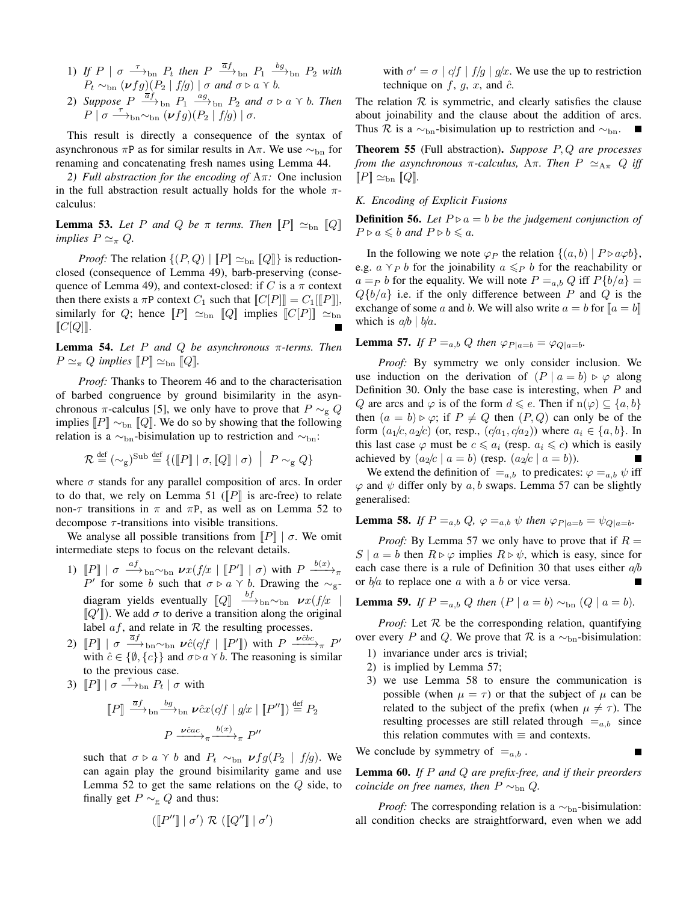- 1) If  $P \mid \sigma \longrightarrow_{bn} P_t$  then  $P \stackrel{\overline{a}f}{\longrightarrow}_{bn} P_1 \stackrel{bg}{\longrightarrow}_{bn} P_2$  with  $P_t \sim_{\text{bn}} (\nu f g)(P_2 | f/g) | \sigma \text{ and } \sigma \triangleright a \curlyvee b.$
- 2) Suppose  $P \stackrel{\overline{a}f}{\longrightarrow}_{\text{bn}} P_1 \stackrel{ag}{\longrightarrow}_{\text{bn}} P_2$  and  $\sigma \triangleright a \curlyvee b$ . Then  $P \mid \sigma \longrightarrow_{\text{bn}} \sim_{\text{bn}} (\nu fg)(P_2 \mid f/g) \mid \sigma.$

This result is directly a consequence of the syntax of asynchronous  $\pi P$  as for similar results in A $\pi$ . We use  $\sim_{\text{bn}}$  for renaming and concatenating fresh names using Lemma 44.

*2) Full abstraction for the encoding of* Aπ*:* One inclusion in the full abstraction result actually holds for the whole  $\pi$ calculus:

**Lemma 53.** Let P and Q be  $\pi$  terms. Then  $\llbracket P \rrbracket \simeq_{\text{bn}} \llbracket Q \rrbracket$ *implies*  $P \simeq_{\pi} Q$ *.* 

*Proof:* The relation  $\{(P, Q) | \|P\| \simeq_{\text{bn}} \|Q\| \}$  is reductionclosed (consequence of Lemma 49), barb-preserving (consequence of Lemma 49), and context-closed: if C is a  $\pi$  context then there exists a  $\pi P$  context  $C_1$  such that  $||C[P]|| = C_1||[P]||$ , similarly for Q; hence  $[P] \simeq_{\text{bn}} [Q]$  implies  $[C[P]] \simeq_{\text{bn}}$  $\llbracket C[Q] \rrbracket$ .

Lemma 54. *Let* P *and* Q *be asynchronous* π*-terms. Then*  $P \simeq_{\pi} Q$  *implies*  $[P] \simeq_{\text{bn}} [Q]$ *.* 

*Proof:* Thanks to Theorem 46 and to the characterisation of barbed congruence by ground bisimilarity in the asynchronous  $\pi$ -calculus [5], we only have to prove that  $P \sim_{\mathbf{g}} Q$ implies  $[P] \sim_{\text{bn}} [Q]$ . We do so by showing that the following relation is a  $\sim_{\text{bn}}$ -bisimulation up to restriction and  $\sim_{\text{bn}}$ :

$$
\mathcal{R} \stackrel{\text{def}}{=} (\sim_g)^{\text{Sub}} \stackrel{\text{def}}{=} \{ ([P] | \sigma, [Q] | \sigma) | P \sim_g Q \}
$$

where  $\sigma$  stands for any parallel composition of arcs. In order to do that, we rely on Lemma 51 ( $\llbracket P \rrbracket$  is arc-free) to relate non- $\tau$  transitions in  $\pi$  and  $\pi$ P, as well as on Lemma 52 to decompose  $\tau$ -transitions into visible transitions.

We analyse all possible transitions from  $||P|| \mid \sigma$ . We omit intermediate steps to focus on the relevant details.

- 1)  $[P] | \sigma \stackrel{af}{\longrightarrow}_{\text{bn}} \sim_{\text{bn}} \nu x (f/x \mid [P'] \mid \sigma) \text{ with } P \stackrel{b(x)}{\longrightarrow}_{\pi}$ P' for some b such that  $\sigma \triangleright a \curlyvee b$ . Drawing the  $\sim_g$ diagram yields eventually  $\llbracket Q \rrbracket \xrightarrow{bf}{}_{\text{bn}} \sim_{\text{bn}} \nu x (f/x \mid$  $\llbracket Q' \rrbracket$ ). We add  $\sigma$  to derive a transition along the original label  $af$ , and relate in  $R$  the resulting processes.
- 2)  $[P] | \sigma \stackrel{\overline{a}f}{\longrightarrow}_{\text{bn}} \sim_{\text{bn}} \nu \hat{c}(c/f | [P'])$  with  $P \stackrel{\nu \hat{c}bc}{\longrightarrow}_{\pi} P'$ with  $\hat{c} \in \{\emptyset, \{c\}\}\$ and  $\sigma \triangleright a \curlyvee b$ . The reasoning is similar to the previous case.
- 3)  $[P] | \sigma \longrightarrow_{\text{bn}} P_t | \sigma$  with

$$
[P] \xrightarrow{\overline{a}f} \ln \xrightarrow{bg} \ln \nu \hat{c}x (cf \mid g/x \mid [P'']) \stackrel{\text{def}}{=} P_2
$$

$$
P \xrightarrow{\nu \hat{c}ac} \xrightarrow{\overline{b}(x)} \pi P''
$$

such that  $\sigma \triangleright a \curlyvee b$  and  $P_t \sim_{\text{bn}} \nu f g(P_2 | f/g)$ . We can again play the ground bisimilarity game and use Lemma 52 to get the same relations on the  $Q$  side, to finally get  $P \sim_g Q$  and thus:

$$
(\llbracket P'' \rrbracket \mid \sigma') \mathrel{\mathcal{R}} (\llbracket Q'' \rrbracket \mid \sigma')
$$

with  $\sigma' = \sigma | c/f | f/g | g/x$ . We use the up to restriction technique on  $f, g, x$ , and  $\hat{c}$ .

The relation  $R$  is symmetric, and clearly satisfies the clause about joinability and the clause about the addition of arcs. Thus R is a  $\sim_{\text{bn}}$ -bisimulation up to restriction and  $\sim_{\text{bn}}$ . ■

Theorem 55 (Full abstraction). *Suppose* P, Q *are processes from the asynchronous*  $\pi$ -calculus,  $A\pi$ . Then  $P \simeq_{A\pi} Q$  *iff*  $[|P] \simeq_{\text{bn}} [Q]$ 

#### *K. Encoding of Explicit Fusions*

**Definition 56.** Let  $P \triangleright a = b$  be the judgement conjunction of  $P \triangleright a \leq b$  *and*  $P \triangleright b \leq a$ *.* 

In the following we note  $\varphi_P$  the relation  $\{(a, b) \mid P \triangleright a \varphi b\}$ , e.g.  $a \ Y_P b$  for the joinability  $a \leq_P b$  for the reachability or  $a = P b$  for the equality. We will note  $P = a, b Q$  iff  $P{b/a} =$  $Q\{b/a\}$  i.e. if the only difference between P and Q is the exchange of some a and b. We will also write  $a = b$  for  $[a = b]$ which is  $a/b \mid b/a$ .

**Lemma 57.** If  $P = a, b$  Q then  $\varphi_{P|a=b} = \varphi_{Q|a=b}$ .

*Proof:* By symmetry we only consider inclusion. We use induction on the derivation of  $(P | a = b) \ge \varphi$  along Definition 30. Only the base case is interesting, when P and Q are arcs and  $\varphi$  is of the form  $d \leq e$ . Then if  $n(\varphi) \subseteq \{a, b\}$ then  $(a = b) \triangleright \varphi$ ; if  $P \neq Q$  then  $(P, Q)$  can only be of the form  $(a_1/c, a_2/c)$  (or, resp.,  $(c/a_1, c/a_2)$ ) where  $a_i \in \{a, b\}$ . In this last case  $\varphi$  must be  $c \leq a_i$  (resp.  $a_i \leq c$ ) which is easily achieved by  $(a_2/c \mid a = b)$  (resp.  $(a_2/c \mid a = b)$ ).

We extend the definition of  $=_{a,b}$  to predicates:  $\varphi =_{a,b} \psi$  iff  $\varphi$  and  $\psi$  differ only by a, b swaps. Lemma 57 can be slightly generalised:

**Lemma 58.** If  $P = a, b$   $Q, \varphi = a, b \psi$  then  $\varphi_{P|a=b} = \psi_{Q|a=b}$ .

*Proof:* By Lemma 57 we only have to prove that if  $R =$ S |  $a = b$  then  $R \triangleright \varphi$  implies  $R \triangleright \psi$ , which is easy, since for each case there is a rule of Definition 30 that uses either  $a/b$ or  $b/a$  to replace one  $a$  with a  $b$  or vice versa.

**Lemma 59.** *If*  $P =_{a,b} Q$  *then*  $(P | a = b) \sim_{bn} (Q | a = b)$ *.* 

*Proof:* Let  $R$  be the corresponding relation, quantifying over every P and Q. We prove that R is a  $\sim_{\text{bn}}$ -bisimulation:

- 1) invariance under arcs is trivial;
- 2) is implied by Lemma 57;
- 3) we use Lemma 58 to ensure the communication is possible (when  $\mu = \tau$ ) or that the subject of  $\mu$  can be related to the subject of the prefix (when  $\mu \neq \tau$ ). The resulting processes are still related through  $=$ <sub>a,b</sub> since this relation commutes with  $\equiv$  and contexts.

We conclude by symmetry of  $=_{a,b}$ .

Lemma 60. *If* P *and* Q *are prefix-free, and if their preorders coincide on free names, then*  $P \sim_{bn} Q$ .

*Proof:* The corresponding relation is a  $\sim_{\text{bn}}$ -bisimulation: all condition checks are straightforward, even when we add